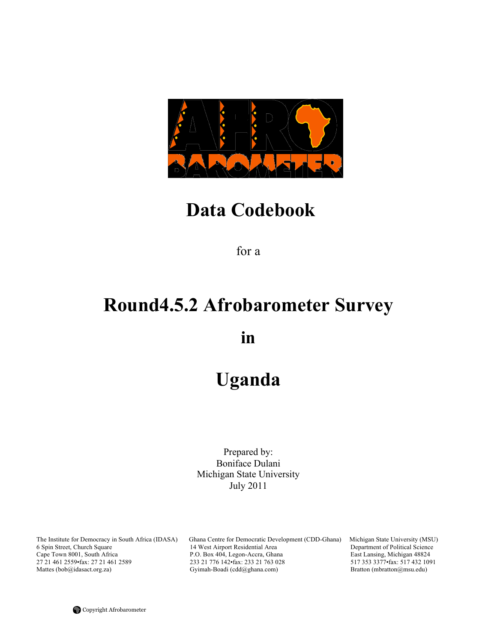

# **Data Codebook**

for a

# **Round4.5.2 Afrobarometer Survey**

**in**

# **Uganda**

Prepared by: Boniface Dulani Michigan State University July 2011

The Institute for Democracy in South Africa (IDASA) Ghana Centre for Democratic Development (CDD-Ghana) Michigan State University (MSU) 6 Spin Street, Church Square 14 West Airport Residential Area Department of Political 6 Spin Street, Church Square 14 West Airport Residential Area Department of Political Science Cape Town 8001, South Africa P.O. Box 404, Legon-Accra, Ghana East Lansing, Michigan 48824<br>27 21 461 2559 fax: 27 21 461 2589 233 21 776 142 fax: 233 21 763 028 517 353 3377 fax: 517 432 1091 27 21 461 2559•fax: 27 21 461 2589 233 21 776 142•fax: 233 21 763 028 517 353 3377•fax: 517 432 10<br>
Mattes (bob@idasact.org.za) Gyimah-Boadi (cdd@ghana.com) Bratton (mbratton@msu.edu) Gyimah-Boadi (cdd@ghana.com)

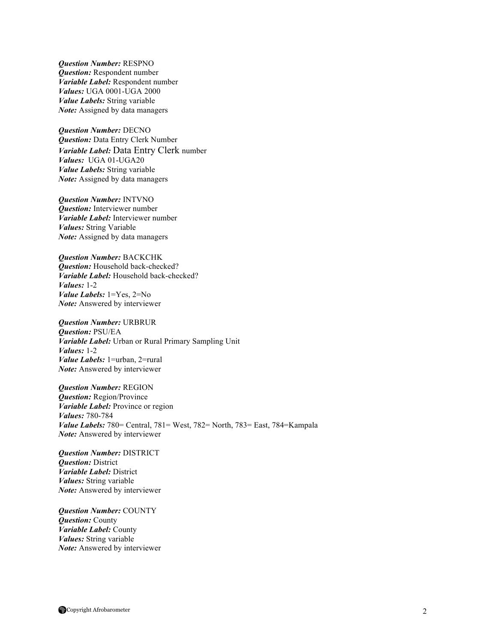*Question Number:* RESPNO *Question:* Respondent number *Variable Label:* Respondent number *Values:* UGA 0001-UGA 2000 *Value Labels:* String variable *Note:* Assigned by data managers

*Question Number:* DECNO *Question:* Data Entry Clerk Number *Variable Label:* Data Entry Clerk number *Values:* UGA 01-UGA20 *Value Labels:* String variable *Note:* Assigned by data managers

*Question Number:* INTVNO *Question:* Interviewer number *Variable Label:* Interviewer number *Values:* String Variable *Note:* Assigned by data managers

*Question Number:* BACKCHK *Question:* Household back-checked? *Variable Label:* Household back-checked? *Values:* 1-2 *Value Labels:* 1=Yes, 2=No *Note:* Answered by interviewer

*Question Number:* URBRUR *Question:* PSU/EA *Variable Label:* Urban or Rural Primary Sampling Unit *Values:* 1-2 *Value Labels:* 1=urban, 2=rural *Note:* Answered by interviewer

*Question Number:* REGION *Question:* Region/Province *Variable Label:* Province or region *Values:* 780-784 *Value Labels:* 780= Central, 781= West, 782= North, 783= East, 784=Kampala *Note:* Answered by interviewer

*Question Number:* DISTRICT *Question:* District *Variable Label:* District *Values:* String variable *Note:* Answered by interviewer

*Question Number:* COUNTY *Question:* County *Variable Label:* County *Values:* String variable *Note:* Answered by interviewer

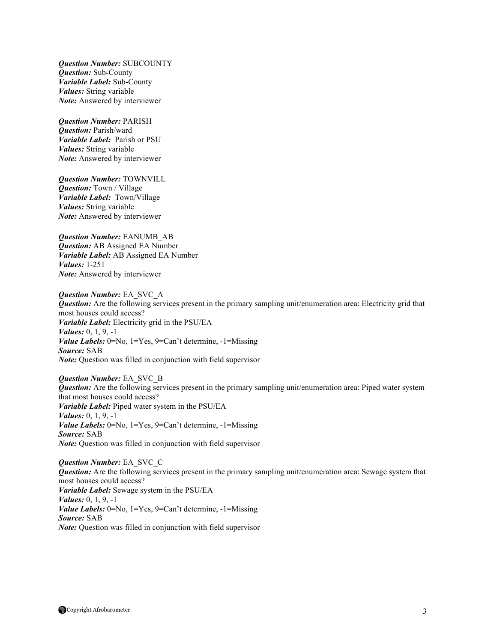*Question Number:* SUBCOUNTY *Question:* Sub*-*County *Variable Label:* Sub*-*County *Values:* String variable *Note:* Answered by interviewer

*Question Number:* PARISH *Question:* Parish/ward *Variable Label:* Parish or PSU *Values:* String variable *Note:* Answered by interviewer

*Question Number:* TOWNVILL *Question:* Town / Village *Variable Label:* Town/Village *Values:* String variable *Note:* Answered by interviewer

*Question Number:* EANUMB\_AB *Question:* AB Assigned EA Number *Variable Label:* AB Assigned EA Number *Values:* 1-251 *Note:* Answered by interviewer

*Question Number:* EA\_SVC\_A *Question:* Are the following services present in the primary sampling unit/enumeration area: Electricity grid that most houses could access? *Variable Label:* Electricity grid in the PSU/EA *Values:* 0, 1, 9, -1 *Value Labels:* 0=No, 1=Yes, 9=Can't determine, -1=Missing *Source:* SAB *Note:* Question was filled in conjunction with field supervisor

*Question Number:* EA\_SVC\_B *Question:* Are the following services present in the primary sampling unit/enumeration area: Piped water system that most houses could access? *Variable Label:* Piped water system in the PSU/EA *Values:* 0, 1, 9, -1 *Value Labels:* 0=No, 1=Yes, 9=Can't determine, -1=Missing *Source:* SAB *Note:* Question was filled in conjunction with field supervisor

*Question Number:* EA\_SVC\_C *Question:* Are the following services present in the primary sampling unit/enumeration area: Sewage system that most houses could access? *Variable Label:* Sewage system in the PSU/EA *Values:* 0, 1, 9, -1 *Value Labels:* 0=No, 1=Yes, 9=Can't determine, -1=Missing *Source:* SAB *Note:* Question was filled in conjunction with field supervisor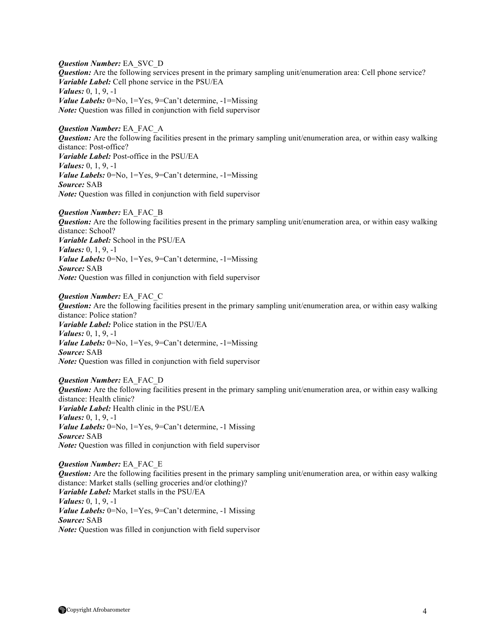*Question Number:* EA\_SVC\_D *Question:* Are the following services present in the primary sampling unit/enumeration area: Cell phone service? *Variable Label:* Cell phone service in the PSU/EA *Values:* 0, 1, 9, -1 *Value Labels:* 0=No, 1=Yes, 9=Can't determine, -1=Missing *Note:* Ouestion was filled in conjunction with field supervisor

*Question Number:* EA\_FAC\_A *Question:* Are the following facilities present in the primary sampling unit/enumeration area, or within easy walking distance: Post-office? *Variable Label:* Post-office in the PSU/EA *Values:* 0, 1, 9, -1 *Value Labels:* 0=No, 1=Yes, 9=Can't determine, -1=Missing *Source:* SAB *Note:* Question was filled in conjunction with field supervisor

*Question Number:* EA\_FAC\_B *Question:* Are the following facilities present in the primary sampling unit/enumeration area, or within easy walking distance: School? *Variable Label:* School in the PSU/EA *Values:* 0, 1, 9, -1 *Value Labels:* 0=No, 1=Yes, 9=Can't determine, -1=Missing *Source:* SAB *Note:* Question was filled in conjunction with field supervisor

*Question Number:* EA\_FAC\_C *Question:* Are the following facilities present in the primary sampling unit/enumeration area, or within easy walking distance: Police station? *Variable Label:* Police station in the PSU/EA *Values:* 0, 1, 9, -1 *Value Labels:* 0=No, 1=Yes, 9=Can't determine, -1=Missing *Source:* SAB *Note:* Question was filled in conjunction with field supervisor

*Question Number:* EA\_FAC\_D *Question:* Are the following facilities present in the primary sampling unit/enumeration area, or within easy walking distance: Health clinic? *Variable Label:* Health clinic in the PSU/EA *Values:* 0, 1, 9, -1 *Value Labels:* 0=No, 1=Yes, 9=Can't determine, -1 Missing *Source:* SAB *Note:* Question was filled in conjunction with field supervisor

*Question Number:* EA\_FAC\_E *Question:* Are the following facilities present in the primary sampling unit/enumeration area, or within easy walking distance: Market stalls (selling groceries and/or clothing)? *Variable Label:* Market stalls in the PSU/EA *Values:* 0, 1, 9, -1 *Value Labels:* 0=No, 1=Yes, 9=Can't determine, -1 Missing *Source:* SAB *Note:* Question was filled in conjunction with field supervisor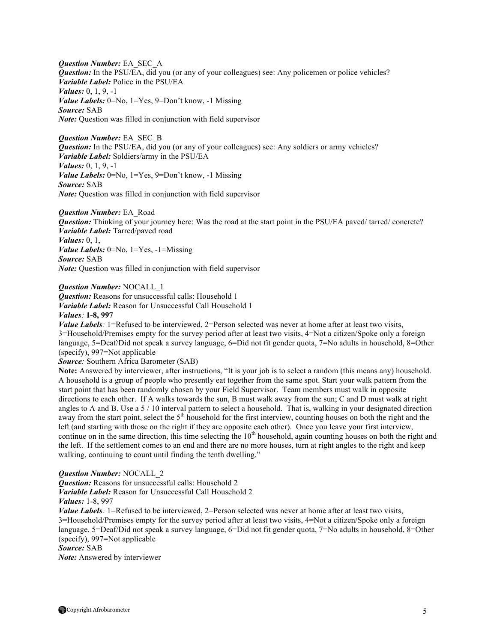*Question Number:* EA\_SEC\_A *Question:* In the PSU/EA, did you (or any of your colleagues) see: Any policemen or police vehicles? *Variable Label:* Police in the PSU/EA *Values:* 0, 1, 9, -1 *Value Labels:* 0=No, 1=Yes, 9=Don't know, -1 Missing *Source:* SAB *Note:* Question was filled in conjunction with field supervisor

*Question Number:* EA\_SEC\_B *Question:* In the PSU/EA, did you (or any of your colleagues) see: Any soldiers or army vehicles? *Variable Label:* Soldiers/army in the PSU/EA *Values:* 0, 1, 9, -1 *Value Labels:* 0=No, 1=Yes, 9=Don't know, -1 Missing *Source:* SAB *Note:* Question was filled in conjunction with field supervisor

*Question Number:* EA\_Road *Question:* Thinking of your journey here: Was the road at the start point in the PSU/EA paved/ tarred/ concrete? *Variable Label:* Tarred/paved road *Values:* 0, 1, *Value Labels:* 0=No, 1=Yes, -1=Missing *Source:* SAB *Note:* Question was filled in conjunction with field supervisor

*Question Number:* NOCALL\_1

*Question:* Reasons for unsuccessful calls: Household 1 *Variable Label:* Reason for Unsuccessful Call Household 1 *Values:* **1-8, 997**

*Value Labels*: 1=Refused to be interviewed, 2=Person selected was never at home after at least two visits, 3=Household/Premises empty for the survey period after at least two visits, 4=Not a citizen/Spoke only a foreign language, 5=Deaf/Did not speak a survey language, 6=Did not fit gender quota, 7=No adults in household, 8=Other (specify), 997=Not applicable

*Source:* Southern Africa Barometer (SAB)

**Note:** Answered by interviewer, after instructions, "It is your job is to select a random (this means any) household. A household is a group of people who presently eat together from the same spot. Start your walk pattern from the start point that has been randomly chosen by your Field Supervisor. Team members must walk in opposite directions to each other. If A walks towards the sun, B must walk away from the sun; C and D must walk at right angles to A and B. Use a  $5/10$  interval pattern to select a household. That is, walking in your designated direction away from the start point, select the  $5<sup>th</sup>$  household for the first interview, counting houses on both the right and the left (and starting with those on the right if they are opposite each other). Once you leave your first interview, continue on in the same direction, this time selecting the 10<sup>th</sup> household, again counting houses on both the right and the left. If the settlement comes to an end and there are no more houses, turn at right angles to the right and keep walking, continuing to count until finding the tenth dwelling."

### *Question Number:* NOCALL\_2

*Question:* Reasons for unsuccessful calls: Household 2 *Variable Label:* Reason for Unsuccessful Call Household 2

*Values:* 1-8, 997

*Value Labels*: 1=Refused to be interviewed, 2=Person selected was never at home after at least two visits, 3=Household/Premises empty for the survey period after at least two visits, 4=Not a citizen/Spoke only a foreign language, 5=Deaf/Did not speak a survey language, 6=Did not fit gender quota, 7=No adults in household, 8=Other (specify), 997=Not applicable

## *Source:* SAB

*Note:* Answered by interviewer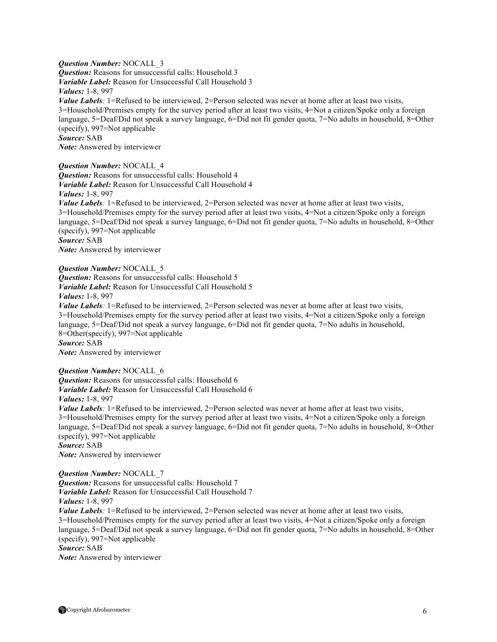*Question Number:* NOCALL\_3 *Question:* Reasons for unsuccessful calls: Household 3 *Variable Label:* Reason for Unsuccessful Call Household 3 *Values:* 1-8, 997 *Value Labels*: 1=Refused to be interviewed, 2=Person selected was never at home after at least two visits, 3=Household/Premises empty for the survey period after at least two visits, 4=Not a citizen/Spoke only a foreign language, 5=Deaf/Did not speak a survey language, 6=Did not fit gender quota, 7=No adults in household, 8=Other (specify), 997=Not applicable *Source:* SAB *Note:* Answered by interviewer

*Question Number:* NOCALL\_4

*Question:* Reasons for unsuccessful calls: Household 4 *Variable Label:* Reason for Unsuccessful Call Household 4 *Values:* 1-8, 997

*Value Labels*: 1=Refused to be interviewed, 2=Person selected was never at home after at least two visits, 3=Household/Premises empty for the survey period after at least two visits, 4=Not a citizen/Spoke only a foreign language, 5=Deaf/Did not speak a survey language, 6=Did not fit gender quota, 7=No adults in household, 8=Other (specify), 997=Not applicable

*Source:* SAB

*Note:* Answered by interviewer

*Question Number:* NOCALL\_5

*Question:* Reasons for unsuccessful calls: Household 5 *Variable Label:* Reason for Unsuccessful Call Household 5

*Values:* 1-8, 997

*Value Labels:* 1=Refused to be interviewed, 2=Person selected was never at home after at least two visits, 3=Household/Premises empty for the survey period after at least two visits, 4=Not a citizen/Spoke only a foreign language, 5=Deaf/Did not speak a survey language, 6=Did not fit gender quota, 7=No adults in household, 8=Other(specify), 997=Not applicable *Source:* SAB

*Note:* Answered by interviewer

*Question Number:* NOCALL\_6

**Question:** Reasons for unsuccessful calls: Household 6 *Variable Label:* Reason for Unsuccessful Call Household 6 *Values:* 1-8, 997

*Value Labels*: 1=Refused to be interviewed, 2=Person selected was never at home after at least two visits, 3=Household/Premises empty for the survey period after at least two visits, 4=Not a citizen/Spoke only a foreign language, 5=Deaf/Did not speak a survey language, 6=Did not fit gender quota, 7=No adults in household, 8=Other (specify), 997=Not applicable *Source:* SAB

*Note:* Answered by interviewer

*Question Number:* NOCALL\_7 *Question:* Reasons for unsuccessful calls: Household 7 *Variable Label:* Reason for Unsuccessful Call Household 7 *Values:* 1-8, 997 *Value Labels*: 1=Refused to be interviewed, 2=Person selected was never at home after at least two visits, 3=Household/Premises empty for the survey period after at least two visits, 4=Not a citizen/Spoke only a foreign language, 5=Deaf/Did not speak a survey language, 6=Did not fit gender quota, 7=No adults in household, 8=Other (specify), 997=Not applicable *Source:* SAB

*Note:* Answered by interviewer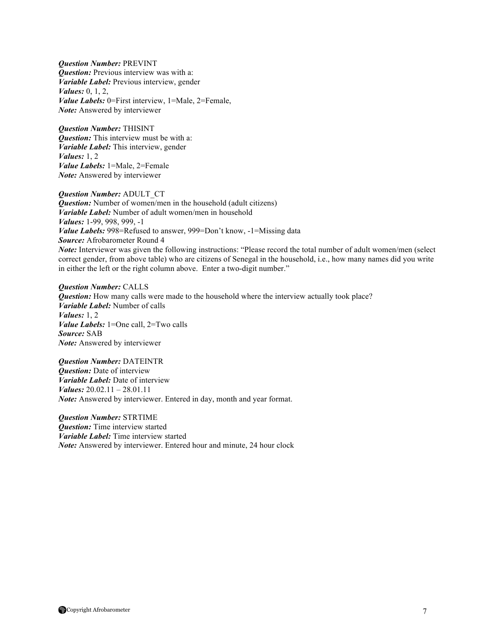*Question Number:* PREVINT *Question:* Previous interview was with a: *Variable Label:* Previous interview, gender *Values:* 0, 1, 2, *Value Labels:* 0=First interview, 1=Male, 2=Female, *Note:* Answered by interviewer

*Question Number:* THISINT *Question:* This interview must be with a: *Variable Label:* This interview, gender *Values:* 1, 2 *Value Labels:* 1=Male, 2=Female *Note:* Answered by interviewer

*Question Number:* ADULT\_CT *Question:* Number of women/men in the household (adult citizens) *Variable Label:* Number of adult women/men in household *Values:* 1-99, 998, 999, -1 *Value Labels:* 998=Refused to answer, 999=Don't know, -1=Missing data *Source:* Afrobarometer Round 4 *Note:* Interviewer was given the following instructions: "Please record the total number of adult women/men (select correct gender, from above table) who are citizens of Senegal in the household, i.e., how many names did you write in either the left or the right column above. Enter a two-digit number."

*Question Number:* CALLS *Question:* How many calls were made to the household where the interview actually took place? *Variable Label:* Number of calls *Values:* 1, 2 *Value Labels:* 1=One call, 2=Two calls *Source:* SAB *Note:* Answered by interviewer

*Question Number:* DATEINTR *Question:* Date of interview *Variable Label:* Date of interview *Values:* 20.02.11 – 28.01.11 *Note:* Answered by interviewer. Entered in day, month and year format.

*Question Number:* STRTIME *Question:* Time interview started *Variable Label:* Time interview started *Note:* Answered by interviewer. Entered hour and minute, 24 hour clock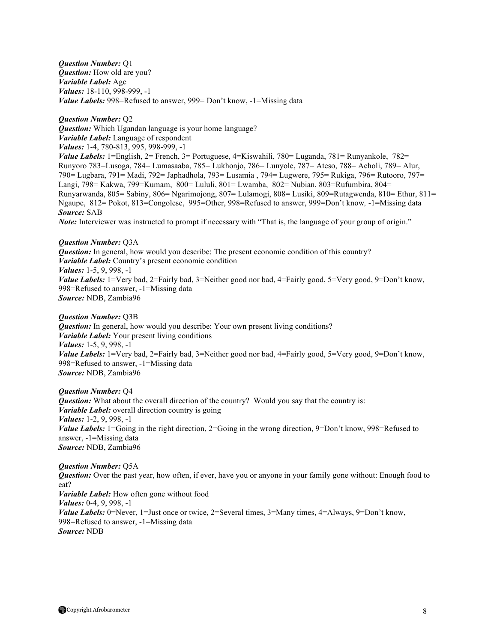*Question Number:* Q1 *Question:* How old are you? *Variable Label:* Age *Values:* 18-110, 998-999, -1 *Value Labels:* 998=Refused to answer, 999= Don't know, -1=Missing data

*Question Number:* Q2 *Question:* Which Ugandan language is your home language? *Variable Label:* Language of respondent *Values:* 1-4, 780-813, 995, 998-999, -1 *Value Labels:* 1=English, 2= French, 3= Portuguese, 4=Kiswahili, 780= Luganda, 781= Runyankole, 782=

Runyoro 783=Lusoga, 784= Lumasaaba, 785= Lukhonjo, 786= Lunyole, 787= Ateso, 788= Acholi, 789= Alur, 790= Lugbara, 791= Madi, 792= Japhadhola, 793= Lusamia , 794= Lugwere, 795= Rukiga, 796= Rutooro, 797= Langi, 798= Kakwa, 799=Kumam, 800= Lululi, 801= Lwamba, 802= Nubian, 803=Rufumbira, 804= Runyarwanda, 805= Sabiny, 806= Ngarimojong, 807= Lulamogi, 808= Lusiki, 809=Rutagwenda, 810= Ethur, 811= Ngaupe, 812= Pokot, 813=Congolese, 995=Other, 998=Refused to answer, 999=Don't know*,* -1=Missing data *Source:* SAB

*Note:* Interviewer was instructed to prompt if necessary with "That is, the language of your group of origin."

*Question Number:* Q3A *Question:* In general, how would you describe: The present economic condition of this country? *Variable Label:* Country's present economic condition *Values:* 1-5, 9, 998, -1 *Value Labels:* 1=Very bad, 2=Fairly bad, 3=Neither good nor bad, 4=Fairly good, 5=Very good, 9=Don't know, 998=Refused to answer, -1=Missing data *Source:* NDB, Zambia96

*Question Number:* Q3B

*Question:* In general, how would you describe: Your own present living conditions? *Variable Label:* Your present living conditions *Values:* 1-5, 9, 998, -1 *Value Labels:* 1=Very bad, 2=Fairly bad, 3=Neither good nor bad, 4=Fairly good, 5=Very good, 9=Don't know, 998=Refused to answer, -1=Missing data *Source:* NDB, Zambia96

*Question Number:* Q4 *Question:* What about the overall direction of the country? Would you say that the country is: *Variable Label:* overall direction country is going *Values:* 1-2, 9, 998, -1 *Value Labels:* 1=Going in the right direction, 2=Going in the wrong direction, 9=Don't know, 998=Refused to answer, -1=Missing data *Source:* NDB, Zambia96

*Question Number:* Q5A *Question:* Over the past year, how often, if ever, have you or anyone in your family gone without: Enough food to eat? *Variable Label:* How often gone without food *Values:* 0-4, 9, 998, -1 *Value Labels:* 0=Never, 1=Just once or twice, 2=Several times, 3=Many times, 4=Always, 9=Don't know, 998=Refused to answer, -1=Missing data *Source:* NDB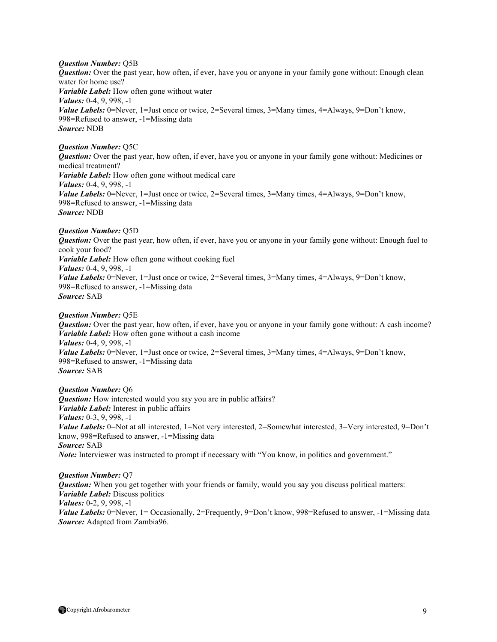*Question Number:* Q5B

*Question:* Over the past year, how often, if ever, have you or anyone in your family gone without: Enough clean water for home use? *Variable Label:* How often gone without water *Values:* 0-4, 9, 998, -1 *Value Labels:* 0=Never, 1=Just once or twice, 2=Several times, 3=Many times, 4=Always, 9=Don't know, 998=Refused to answer, -1=Missing data *Source:* NDB

## *Question Number:* Q5C

*Question:* Over the past year, how often, if ever, have you or anyone in your family gone without: Medicines or medical treatment? *Variable Label:* How often gone without medical care *Values:* 0-4, 9, 998, -1 *Value Labels:* 0=Never, 1=Just once or twice, 2=Several times, 3=Many times, 4=Always, 9=Don't know, 998=Refused to answer, -1=Missing data *Source:* NDB

## *Question Number:* Q5D

*Question:* Over the past year, how often, if ever, have you or anyone in your family gone without: Enough fuel to cook your food? *Variable Label:* How often gone without cooking fuel *Values:* 0-4, 9, 998, -1 *Value Labels:* 0=Never, 1=Just once or twice, 2=Several times, 3=Many times, 4=Always, 9=Don't know, 998=Refused to answer, -1=Missing data *Source:* SAB

### *Question Number:* Q5E

*Question:* Over the past year, how often, if ever, have you or anyone in your family gone without: A cash income? *Variable Label:* How often gone without a cash income *Values:* 0-4, 9, 998, -1 *Value Labels:* 0=Never, 1=Just once or twice, 2=Several times, 3=Many times, 4=Always, 9=Don't know, 998=Refused to answer, -1=Missing data *Source:* SAB

*Question Number:* Q6 *Question:* How interested would you say you are in public affairs? *Variable Label:* Interest in public affairs *Values:* 0-3, 9, 998, -1 *Value Labels:* 0=Not at all interested, 1=Not very interested, 2=Somewhat interested, 3=Very interested, 9=Don't know, 998=Refused to answer, -1=Missing data *Source:* SAB *Note:* Interviewer was instructed to prompt if necessary with "You know, in politics and government."

*Question Number:* Q7 *Question:* When you get together with your friends or family, would you say you discuss political matters: *Variable Label:* Discuss politics *Values:* 0-2, 9, 998, -1 *Value Labels:* 0=Never, 1= Occasionally, 2=Frequently, 9=Don't know, 998=Refused to answer, -1=Missing data *Source:* Adapted from Zambia96.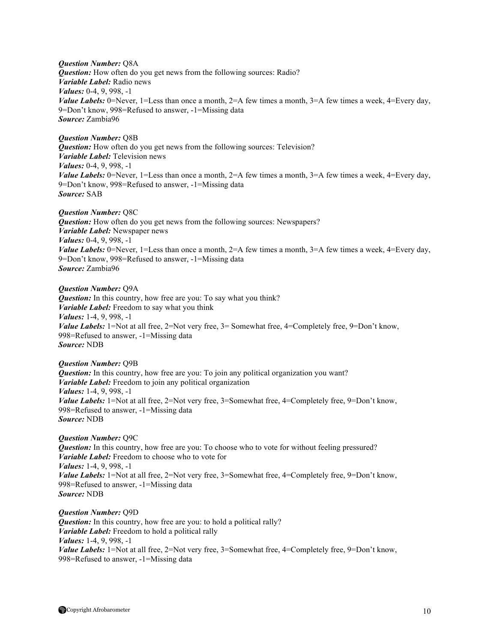## *Question Number:* Q8A

*Question:* How often do you get news from the following sources: Radio? *Variable Label:* Radio news *Values:* 0-4, 9, 998, -1 *Value Labels:* 0=Never, 1=Less than once a month,  $2=$ A few times a month,  $3=$ A few times a week,  $4=$ Every day, 9=Don't know, 998=Refused to answer, -1=Missing data *Source:* Zambia96

## *Question Number:* Q8B

*Question:* How often do you get news from the following sources: Television? *Variable Label:* Television news *Values:* 0-4, 9, 998, -1 *Value Labels:* 0=Never, 1=Less than once a month, 2=A few times a month, 3=A few times a week, 4=Every day, 9=Don't know, 998=Refused to answer, -1=Missing data *Source:* SAB

### *Question Number:* Q8C

*Question:* How often do you get news from the following sources: Newspapers? *Variable Label:* Newspaper news *Values:* 0-4, 9, 998, -1 *Value Labels:* 0=Never, 1=Less than once a month, 2=A few times a month, 3=A few times a week, 4=Every day, 9=Don't know, 998=Refused to answer, -1=Missing data *Source:* Zambia96

## *Question Number:* Q9A

**Question:** In this country, how free are you: To say what you think? *Variable Label:* Freedom to say what you think *Values:* 1-4, 9, 998, -1 *Value Labels:* 1=Not at all free, 2=Not very free, 3= Somewhat free, 4=Completely free, 9=Don't know, 998=Refused to answer, -1=Missing data *Source:* NDB

## *Question Number:* Q9B

*Question:* In this country, how free are you: To join any political organization you want? *Variable Label:* Freedom to join any political organization *Values:* 1-4, 9, 998, -1 *Value Labels:* 1=Not at all free, 2=Not very free, 3=Somewhat free, 4=Completely free, 9=Don't know, 998=Refused to answer, -1=Missing data *Source:* NDB

## *Question Number:* Q9C

*Question:* In this country, how free are you: To choose who to vote for without feeling pressured? *Variable Label:* Freedom to choose who to vote for *Values:* 1-4, 9, 998, -1 *Value Labels:* 1=Not at all free, 2=Not very free, 3=Somewhat free, 4=Completely free, 9=Don't know, 998=Refused to answer, -1=Missing data *Source:* NDB

*Question Number:* Q9D **Question:** In this country, how free are you: to hold a political rally? *Variable Label:* Freedom to hold a political rally *Values:* 1-4, 9, 998, -1 *Value Labels:* 1=Not at all free, 2=Not very free, 3=Somewhat free, 4=Completely free, 9=Don't know, 998=Refused to answer, -1=Missing data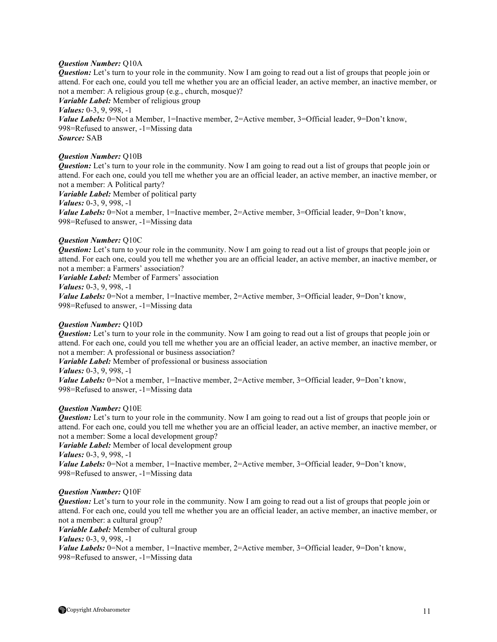## *Question Number:* Q10A

*Question:* Let's turn to your role in the community. Now I am going to read out a list of groups that people join or attend. For each one, could you tell me whether you are an official leader, an active member, an inactive member, or not a member: A religious group (e.g., church, mosque)? *Variable Label:* Member of religious group *Values:* 0-3, 9, 998, -1 *Value Labels:* 0=Not a Member, 1=Inactive member, 2=Active member, 3=Official leader, 9=Don't know, 998=Refused to answer, -1=Missing data *Source:* SAB

## *Question Number:* Q10B

*Question:* Let's turn to your role in the community. Now I am going to read out a list of groups that people join or attend. For each one, could you tell me whether you are an official leader, an active member, an inactive member, or not a member: A Political party? *Variable Label:* Member of political party *Values:* 0-3, 9, 998, -1

*Value Labels:* 0=Not a member, 1=Inactive member, 2=Active member, 3=Official leader, 9=Don't know, 998=Refused to answer, -1=Missing data

### *Question Number:* Q10C

*Question:* Let's turn to your role in the community. Now I am going to read out a list of groups that people join or attend. For each one, could you tell me whether you are an official leader, an active member, an inactive member, or not a member: a Farmers' association?

*Variable Label:* Member of Farmers' association

*Values:* 0-3, 9, 998, -1

*Value Labels:* 0=Not a member, 1=Inactive member, 2=Active member, 3=Official leader, 9=Don't know, 998=Refused to answer, -1=Missing data

### *Question Number:* Q10D

*Question:* Let's turn to your role in the community. Now I am going to read out a list of groups that people join or attend. For each one, could you tell me whether you are an official leader, an active member, an inactive member, or not a member: A professional or business association?

*Variable Label:* Member of professional or business association

*Values:* 0-3, 9, 998, -1

*Value Labels:* 0=Not a member, 1=Inactive member, 2=Active member, 3=Official leader, 9=Don't know, 998=Refused to answer, -1=Missing data

### *Question Number:* Q10E

*Question:* Let's turn to your role in the community. Now I am going to read out a list of groups that people join or attend. For each one, could you tell me whether you are an official leader, an active member, an inactive member, or not a member: Some a local development group?

*Variable Label:* Member of local development group *Values:* 0-3, 9, 998, -1 *Value Labels:* 0=Not a member, 1=Inactive member, 2=Active member, 3=Official leader, 9=Don't know, 998=Refused to answer, -1=Missing data

## *Question Number:* Q10F

*Question:* Let's turn to your role in the community. Now I am going to read out a list of groups that people join or attend. For each one, could you tell me whether you are an official leader, an active member, an inactive member, or not a member: a cultural group?

*Variable Label:* Member of cultural group

*Values:* 0-3, 9, 998, -1

*Value Labels:* 0=Not a member, 1=Inactive member, 2=Active member, 3=Official leader, 9=Don't know, 998=Refused to answer, -1=Missing data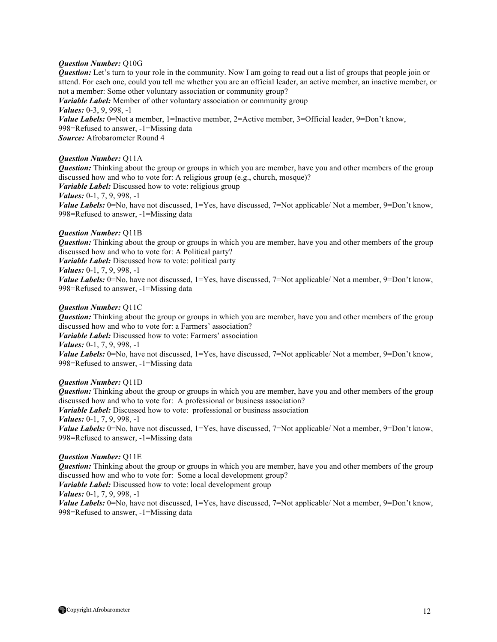### *Question Number:* Q10G

*Question:* Let's turn to your role in the community. Now I am going to read out a list of groups that people join or attend. For each one, could you tell me whether you are an official leader, an active member, an inactive member, or not a member: Some other voluntary association or community group? *Variable Label:* Member of other voluntary association or community group *Values:* 0-3, 9, 998, -1 *Value Labels:* 0=Not a member, 1=Inactive member, 2=Active member, 3=Official leader, 9=Don't know, 998=Refused to answer, -1=Missing data *Source:* Afrobarometer Round 4

## *Question Number:* Q11A

*Question:* Thinking about the group or groups in which you are member, have you and other members of the group discussed how and who to vote for: A religious group (e.g., church, mosque)? *Variable Label:* Discussed how to vote: religious group *Values:* 0-1, 7, 9, 998, -1 *Value Labels:* 0=No, have not discussed, 1=Yes, have discussed, 7=Not applicable/Not a member, 9=Don't know, 998=Refused to answer, -1=Missing data

#### *Question Number:* Q11B

*Question:* Thinking about the group or groups in which you are member, have you and other members of the group discussed how and who to vote for: A Political party?

*Variable Label:* Discussed how to vote: political party

*Values:* 0-1, 7, 9, 998, -1

*Value Labels:* 0=No, have not discussed, 1=Yes, have discussed, 7=Not applicable/ Not a member, 9=Don't know, 998=Refused to answer, -1=Missing data

## *Question Number:* Q11C

*Question:* Thinking about the group or groups in which you are member, have you and other members of the group discussed how and who to vote for: a Farmers' association?

*Variable Label:* Discussed how to vote: Farmers' association

*Values:* 0-1, 7, 9, 998, -1

*Value Labels:* 0=No, have not discussed, 1=Yes, have discussed, 7=Not applicable/ Not a member, 9=Don't know, 998=Refused to answer, -1=Missing data

#### *Question Number:* Q11D

*Question:* Thinking about the group or groups in which you are member, have you and other members of the group discussed how and who to vote for: A professional or business association? *Variable Label:* Discussed how to vote: professional or business association

*Values:* 0-1, 7, 9, 998, -1

*Value Labels:* 0=No, have not discussed, 1=Yes, have discussed, 7=Not applicable/ Not a member, 9=Don't know, 998=Refused to answer, -1=Missing data

#### *Question Number:* Q11E

*Question:* Thinking about the group or groups in which you are member, have you and other members of the group discussed how and who to vote for: Some a local development group?

*Variable Label:* Discussed how to vote: local development group

*Values:* 0-1, 7, 9, 998, -1

*Value Labels:* 0=No, have not discussed, 1=Yes, have discussed, 7=Not applicable/ Not a member, 9=Don't know, 998=Refused to answer, -1=Missing data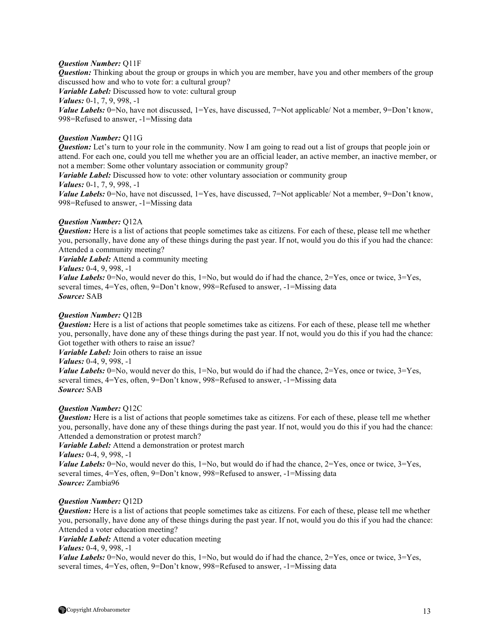## *Question Number:* Q11F

*Question:* Thinking about the group or groups in which you are member, have you and other members of the group discussed how and who to vote for: a cultural group?

*Variable Label:* Discussed how to vote: cultural group *Values:* 0-1, 7, 9, 998, -1

*Value Labels:* 0=No, have not discussed, 1=Yes, have discussed, 7=Not applicable/ Not a member, 9=Don't know, 998=Refused to answer, -1=Missing data

## *Question Number:* Q11G

*Question:* Let's turn to your role in the community. Now I am going to read out a list of groups that people join or attend. For each one, could you tell me whether you are an official leader, an active member, an inactive member, or not a member: Some other voluntary association or community group?

*Variable Label:* Discussed how to vote: other voluntary association or community group

## *Values:* 0-1, 7, 9, 998, -1

*Value Labels:* 0=No, have not discussed, 1=Yes, have discussed, 7=Not applicable/ Not a member, 9=Don't know, 998=Refused to answer, -1=Missing data

## *Question Number:* Q12A

*Question:* Here is a list of actions that people sometimes take as citizens. For each of these, please tell me whether you, personally, have done any of these things during the past year. If not, would you do this if you had the chance: Attended a community meeting?

*Variable Label:* Attend a community meeting

## *Values:* 0-4, 9, 998, -1

*Value Labels:* 0=No, would never do this,  $1=N_0$ , but would do if had the chance,  $2=Y$ es, once or twice,  $3=Y$ es, several times, 4=Yes, often, 9=Don't know, 998=Refused to answer, -1=Missing data *Source:* SAB

## *Question Number:* Q12B

*Question:* Here is a list of actions that people sometimes take as citizens. For each of these, please tell me whether you, personally, have done any of these things during the past year. If not, would you do this if you had the chance: Got together with others to raise an issue?

*Variable Label:* Join others to raise an issue

## *Values:* 0-4, 9, 998, -1

*Value Labels:*  $0 = No$ , would never do this,  $1 = No$ , but would do if had the chance,  $2 = Yes$ , once or twice,  $3 = Yes$ , several times, 4=Yes, often, 9=Don't know, 998=Refused to answer, -1=Missing data *Source:* SAB

### *Question Number:* Q12C

*Question:* Here is a list of actions that people sometimes take as citizens. For each of these, please tell me whether you, personally, have done any of these things during the past year. If not, would you do this if you had the chance: Attended a demonstration or protest march?

*Variable Label:* Attend a demonstration or protest march

*Values:* 0-4, 9, 998, -1

*Value Labels:* 0=No, would never do this,  $1=N_0$ , but would do if had the chance,  $2=Y$ es, once or twice,  $3=Yes$ , several times, 4=Yes, often, 9=Don't know, 998=Refused to answer, -1=Missing data *Source:* Zambia96

## *Question Number:* Q12D

*Question:* Here is a list of actions that people sometimes take as citizens. For each of these, please tell me whether you, personally, have done any of these things during the past year. If not, would you do this if you had the chance: Attended a voter education meeting?

*Variable Label:* Attend a voter education meeting

*Values:* 0-4, 9, 998, -1

*Value Labels:*  $0 = No$ , would never do this,  $1 = No$ , but would do if had the chance,  $2 = Yes$ , once or twice,  $3 = Yes$ , several times, 4=Yes, often, 9=Don't know, 998=Refused to answer, -1=Missing data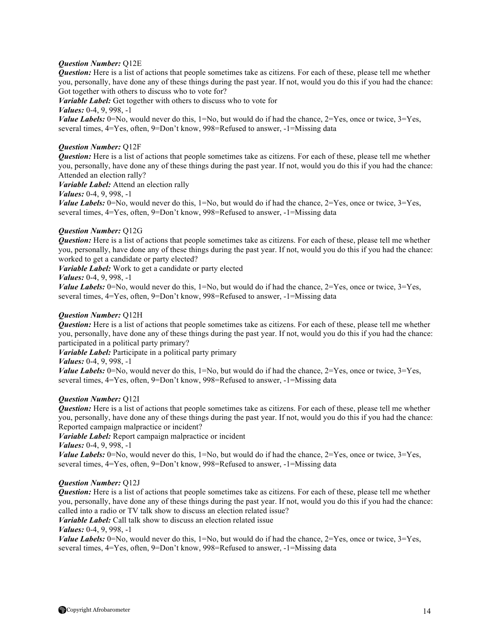## *Question Number:* Q12E

*Question:* Here is a list of actions that people sometimes take as citizens. For each of these, please tell me whether you, personally, have done any of these things during the past year. If not, would you do this if you had the chance: Got together with others to discuss who to vote for?

*Variable Label:* Get together with others to discuss who to vote for

*Values:* 0-4, 9, 998, -1

*Value Labels:*  $0 = No$ , would never do this,  $1 = No$ , but would do if had the chance,  $2 = Yes$ , once or twice,  $3 = Yes$ , several times, 4=Yes, often, 9=Don't know, 998=Refused to answer, -1=Missing data

### *Question Number:* Q12F

*Question:* Here is a list of actions that people sometimes take as citizens. For each of these, please tell me whether you, personally, have done any of these things during the past year. If not, would you do this if you had the chance: Attended an election rally?

*Variable Label:* Attend an election rally

*Values:* 0-4, 9, 998, -1

*Value Labels:* 0=No, would never do this,  $1=N_0$ , but would do if had the chance,  $2=Y$ es, once or twice,  $3=Yes$ , several times, 4=Yes, often, 9=Don't know, 998=Refused to answer, -1=Missing data

## *Question Number:* Q12G

*Question:* Here is a list of actions that people sometimes take as citizens. For each of these, please tell me whether you, personally, have done any of these things during the past year. If not, would you do this if you had the chance: worked to get a candidate or party elected?

*Variable Label:* Work to get a candidate or party elected

### *Values:* 0-4, 9, 998, -1

*Value Labels:*  $0 = No$ , would never do this,  $1 = No$ , but would do if had the chance,  $2 = Yes$ , once or twice,  $3 = Yes$ , several times, 4=Yes, often, 9=Don't know, 998=Refused to answer, -1=Missing data

## *Question Number:* Q12H

*Question:* Here is a list of actions that people sometimes take as citizens. For each of these, please tell me whether you, personally, have done any of these things during the past year. If not, would you do this if you had the chance: participated in a political party primary?

*Variable Label:* Participate in a political party primary

*Values:* 0-4, 9, 998, -1

*Value Labels:*  $0 = No$ , would never do this,  $1 = No$ , but would do if had the chance,  $2 = Yes$ , once or twice,  $3 = Yes$ , several times, 4=Yes, often, 9=Don't know, 998=Refused to answer, -1=Missing data

### *Question Number:* Q12I

*Question:* Here is a list of actions that people sometimes take as citizens. For each of these, please tell me whether you, personally, have done any of these things during the past year. If not, would you do this if you had the chance: Reported campaign malpractice or incident?

*Variable Label:* Report campaign malpractice or incident

*Values:* 0-4, 9, 998, -1

*Value Labels:*  $0 = No$ , would never do this,  $1 = No$ , but would do if had the chance,  $2 = Yes$ , once or twice,  $3 = Yes$ , several times, 4=Yes, often, 9=Don't know, 998=Refused to answer, -1=Missing data

### *Question Number:* Q12J

*Question:* Here is a list of actions that people sometimes take as citizens. For each of these, please tell me whether you, personally, have done any of these things during the past year. If not, would you do this if you had the chance: called into a radio or TV talk show to discuss an election related issue?

*Variable Label:* Call talk show to discuss an election related issue

*Values:* 0-4, 9, 998, -1

*Value Labels:*  $0 = No$ , would never do this,  $1 = No$ , but would do if had the chance,  $2 = Yes$ , once or twice,  $3 = Yes$ , several times, 4=Yes, often, 9=Don't know, 998=Refused to answer, -1=Missing data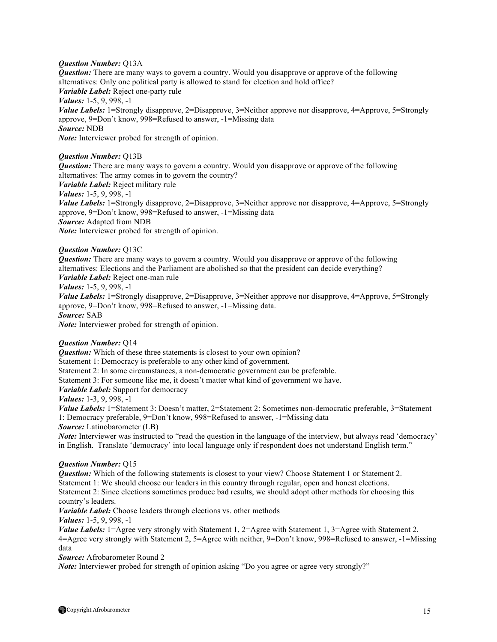## *Question Number:* Q13A

*Question:* There are many ways to govern a country. Would you disapprove or approve of the following alternatives: Only one political party is allowed to stand for election and hold office? *Variable Label:* Reject one-party rule *Values:* 1-5, 9, 998, -1 *Value Labels:* 1=Strongly disapprove, 2=Disapprove, 3=Neither approve nor disapprove, 4=Approve, 5=Strongly approve, 9=Don't know, 998=Refused to answer, -1=Missing data *Source:* NDB *Note:* Interviewer probed for strength of opinion.

## *Question Number:* Q13B

*Question:* There are many ways to govern a country. Would you disapprove or approve of the following alternatives: The army comes in to govern the country?

*Variable Label:* Reject military rule

*Values:* 1-5, 9, 998, -1

*Value Labels:* 1=Strongly disapprove, 2=Disapprove, 3=Neither approve nor disapprove, 4=Approve, 5=Strongly approve, 9=Don't know, 998=Refused to answer, -1=Missing data *Source:* Adapted from NDB *Note:* Interviewer probed for strength of opinion.

## *Question Number:* Q13C

*Question:* There are many ways to govern a country. Would you disapprove or approve of the following alternatives: Elections and the Parliament are abolished so that the president can decide everything? *Variable Label:* Reject one-man rule

*Values:* 1-5, 9, 998, -1

*Value Labels:* 1=Strongly disapprove, 2=Disapprove, 3=Neither approve nor disapprove, 4=Approve, 5=Strongly approve, 9=Don't know, 998=Refused to answer, -1=Missing data.

*Source:* SAB

*Note:* Interviewer probed for strength of opinion.

### *Question Number:* Q14

**Question:** Which of these three statements is closest to your own opinion?

Statement 1: Democracy is preferable to any other kind of government.

Statement 2: In some circumstances, a non-democratic government can be preferable.

Statement 3: For someone like me, it doesn't matter what kind of government we have.

*Variable Label:* Support for democracy

*Values:* 1-3, 9, 998, -1

*Value Labels:* 1=Statement 3: Doesn't matter, 2=Statement 2: Sometimes non-democratic preferable, 3=Statement 1: Democracy preferable, 9=Don't know, 998=Refused to answer, -1=Missing data

*Source:* Latinobarometer (LB)

*Note:* Interviewer was instructed to "read the question in the language of the interview, but always read 'democracy' in English. Translate 'democracy' into local language only if respondent does not understand English term."

### *Question Number:* Q15

*Question:* Which of the following statements is closest to your view? Choose Statement 1 or Statement 2. Statement 1: We should choose our leaders in this country through regular, open and honest elections.

Statement 2: Since elections sometimes produce bad results, we should adopt other methods for choosing this country's leaders.

*Variable Label:* Choose leaders through elections vs. other methods

*Values:* 1-5, 9, 998, -1

*Value Labels:* 1=Agree very strongly with Statement 1, 2=Agree with Statement 1, 3=Agree with Statement 2, 4=Agree very strongly with Statement 2, 5=Agree with neither, 9=Don't know, 998=Refused to answer, -1=Missing data

*Source:* Afrobarometer Round 2

*Note:* Interviewer probed for strength of opinion asking "Do you agree or agree very strongly?"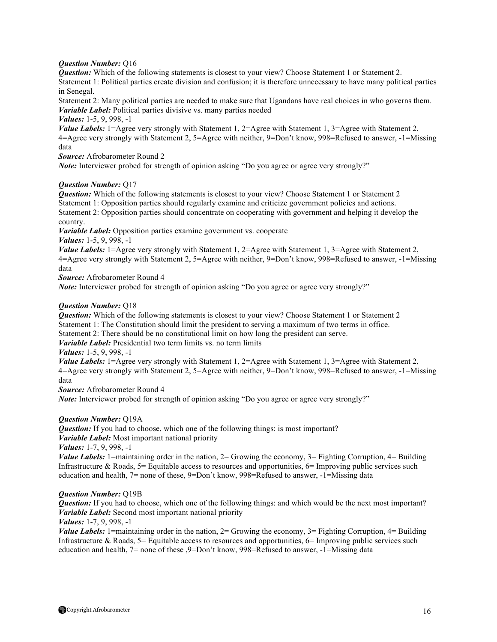## *Question Number:* Q16

*Question:* Which of the following statements is closest to your view? Choose Statement 1 or Statement 2. Statement 1: Political parties create division and confusion; it is therefore unnecessary to have many political parties in Senegal.

Statement 2: Many political parties are needed to make sure that Ugandans have real choices in who governs them. *Variable Label:* Political parties divisive vs. many parties needed

*Values:* 1-5, 9, 998, -1

*Value Labels:* 1=Agree very strongly with Statement 1, 2=Agree with Statement 1, 3=Agree with Statement 2, 4=Agree very strongly with Statement 2, 5=Agree with neither, 9=Don't know, 998=Refused to answer, -1=Missing data

*Source:* Afrobarometer Round 2

*Note:* Interviewer probed for strength of opinion asking "Do you agree or agree very strongly?"

## *Question Number:* Q17

*Question:* Which of the following statements is closest to your view? Choose Statement 1 or Statement 2 Statement 1: Opposition parties should regularly examine and criticize government policies and actions. Statement 2: Opposition parties should concentrate on cooperating with government and helping it develop the country.

*Variable Label:* Opposition parties examine government vs. cooperate

*Values:* 1-5, 9, 998, -1

*Value Labels:* 1=Agree very strongly with Statement 1, 2=Agree with Statement 1, 3=Agree with Statement 2, 4=Agree very strongly with Statement 2, 5=Agree with neither, 9=Don't know, 998=Refused to answer, -1=Missing data

*Source:* Afrobarometer Round 4

*Note*: Interviewer probed for strength of opinion asking "Do you agree or agree very strongly?"

## *Question Number:* Q18

*Question:* Which of the following statements is closest to your view? Choose Statement 1 or Statement 2 Statement 1: The Constitution should limit the president to serving a maximum of two terms in office. Statement 2: There should be no constitutional limit on how long the president can serve.

*Variable Label:* Presidential two term limits vs. no term limits

*Values:* 1-5, 9, 998, -1

*Value Labels:* 1=Agree very strongly with Statement 1, 2=Agree with Statement 1, 3=Agree with Statement 2, 4=Agree very strongly with Statement 2, 5=Agree with neither, 9=Don't know, 998=Refused to answer, -1=Missing data

*Source:* Afrobarometer Round 4

*Note*: Interviewer probed for strength of opinion asking "Do you agree or agree very strongly?"

## *Question Number:* Q19A

*Question:* If you had to choose, which one of the following things: is most important?

*Variable Label:* Most important national priority

*Values:* 1-7, 9, 998, -1

*Value Labels:* 1=maintaining order in the nation, 2= Growing the economy, 3= Fighting Corruption, 4= Building Infrastructure & Roads,  $5=$  Equitable access to resources and opportunities,  $6=$  Improving public services such education and health, 7= none of these, 9=Don't know, 998=Refused to answer, -1=Missing data

### *Question Number:* Q19B

*Question:* If you had to choose, which one of the following things: and which would be the next most important? *Variable Label:* Second most important national priority

*Values:* 1-7, 9, 998, -1

*Value Labels:* 1=maintaining order in the nation, 2= Growing the economy, 3= Fighting Corruption, 4= Building Infrastructure & Roads,  $5=$  Equitable access to resources and opportunities,  $6=$  Improving public services such education and health, 7= none of these ,9=Don't know, 998=Refused to answer, -1=Missing data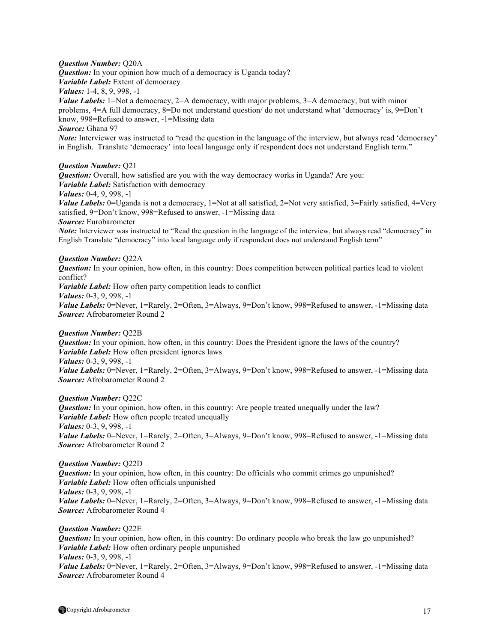## *Question Number:* Q20A

*Question:* In your opinion how much of a democracy is Uganda today?

*Variable Label:* Extent of democracy

*Values:* 1-4, 8, 9, 998, -1

*Value Labels:*  $1 = Not$  a democracy,  $2 = A$  democracy, with major problems,  $3 = A$  democracy, but with minor problems, 4=A full democracy, 8=Do not understand question/ do not understand what 'democracy' is, 9=Don't know, 998=Refused to answer, -1=Missing data

*Source:* Ghana 97

*Note:* Interviewer was instructed to "read the question in the language of the interview, but always read 'democracy' in English. Translate 'democracy' into local language only if respondent does not understand English term."

## *Question Number:* Q21

*Question:* Overall, how satisfied are you with the way democracy works in Uganda? Are you: *Variable Label:* Satisfaction with democracy

*Values:* 0-4, 9, 998, -1

*Value Labels:* 0=Uganda is not a democracy, 1=Not at all satisfied, 2=Not very satisfied, 3=Fairly satisfied, 4=Very satisfied, 9=Don't know, 998=Refused to answer, -1=Missing data *Source:* Eurobarometer

*Note*: Interviewer was instructed to "Read the question in the language of the interview, but always read "democracy" in English Translate "democracy" into local language only if respondent does not understand English term"

## *Question Number:* Q22A

*Question:* In your opinion, how often, in this country: Does competition between political parties lead to violent conflict?

*Variable Label:* How often party competition leads to conflict

*Values:* 0-3, 9, 998, -1

*Value Labels:* 0=Never, 1=Rarely, 2=Often, 3=Always, 9=Don't know, 998=Refused to answer, -1=Missing data *Source:* Afrobarometer Round 2

### *Question Number:* Q22B

*Question:* In your opinion, how often, in this country: Does the President ignore the laws of the country? *Variable Label:* How often president ignores laws

*Values:* 0-3, 9, 998, -1

Value Labels: 0=Never, 1=Rarely, 2=Often, 3=Always, 9=Don't know, 998=Refused to answer, -1=Missing data *Source:* Afrobarometer Round 2

## *Question Number:* Q22C

*Question:* In your opinion, how often, in this country: Are people treated unequally under the law? *Variable Label:* How often people treated unequally *Values:* 0-3, 9, 998, -1 *Value Labels:* 0=Never, 1=Rarely, 2=Often, 3=Always, 9=Don't know, 998=Refused to answer, -1=Missing data *Source:* Afrobarometer Round 2

### *Question Number:* Q22D

*Question:* In your opinion, how often, in this country: Do officials who commit crimes go unpunished? *Variable Label:* How often officials unpunished *Values:* 0-3, 9, 998, -1 *Value Labels:* 0=Never, 1=Rarely, 2=Often, 3=Always, 9=Don't know, 998=Refused to answer, -1=Missing data *Source:* Afrobarometer Round 4

### *Question Number:* Q22E

*Question:* In your opinion, how often, in this country: Do ordinary people who break the law go unpunished? *Variable Label:* How often ordinary people unpunished *Values:* 0-3, 9, 998, -1 Value Labels: 0=Never, 1=Rarely, 2=Often, 3=Always, 9=Don't know, 998=Refused to answer, -1=Missing data *Source:* Afrobarometer Round 4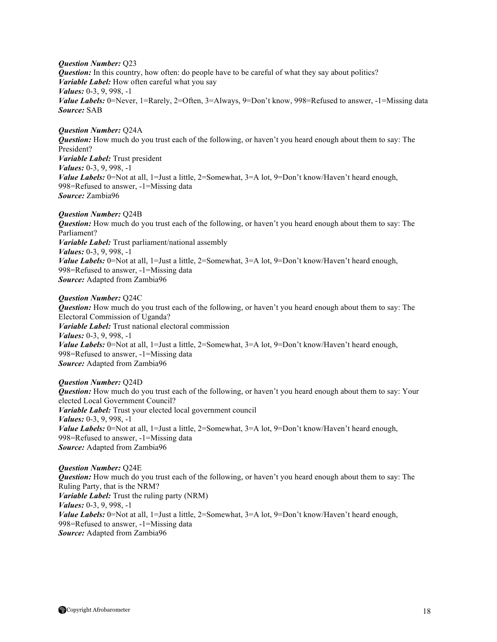*Question Number:* Q23 *Question:* In this country, how often: do people have to be careful of what they say about politics? *Variable Label:* How often careful what you say *Values:* 0-3, 9, 998, -1 *Value Labels:* 0=Never, 1=Rarely, 2=Often, 3=Always, 9=Don't know, 998=Refused to answer, -1=Missing data *Source:* SAB

*Question Number:* Q24A *Question:* How much do you trust each of the following, or haven't you heard enough about them to say: The President? *Variable Label:* Trust president *Values:* 0-3, 9, 998, -1 *Value Labels:* 0=Not at all, 1=Just a little, 2=Somewhat, 3=A lot, 9=Don't know/Haven't heard enough, 998=Refused to answer, -1=Missing data *Source:* Zambia96

#### *Question Number:* Q24B

*Question:* How much do you trust each of the following, or haven't you heard enough about them to say: The Parliament? *Variable Label:* Trust parliament/national assembly *Values:* 0-3, 9, 998, -1 *Value Labels:* 0=Not at all, 1=Just a little, 2=Somewhat, 3=A lot, 9=Don't know/Haven't heard enough, 998=Refused to answer, -1=Missing data *Source:* Adapted from Zambia96

#### *Question Number:* Q24C

*Question:* How much do you trust each of the following, or haven't you heard enough about them to say: The Electoral Commission of Uganda? *Variable Label:* Trust national electoral commission *Values:* 0-3, 9, 998, -1 *Value Labels:* 0=Not at all, 1=Just a little, 2=Somewhat, 3=A lot, 9=Don't know/Haven't heard enough, 998=Refused to answer, -1=Missing data *Source:* Adapted from Zambia96

### *Question Number:* Q24D

*Question:* How much do you trust each of the following, or haven't you heard enough about them to say: Your elected Local Government Council? *Variable Label:* Trust your elected local government council *Values:* 0-3, 9, 998, -1 *Value Labels:* 0=Not at all, 1=Just a little, 2=Somewhat, 3=A lot, 9=Don't know/Haven't heard enough, 998=Refused to answer, -1=Missing data *Source:* Adapted from Zambia96

*Question Number:* Q24E *Question:* How much do you trust each of the following, or haven't you heard enough about them to say: The Ruling Party, that is the NRM? *Variable Label:* Trust the ruling party (NRM) *Values:* 0-3, 9, 998, -1 *Value Labels:* 0=Not at all, 1=Just a little, 2=Somewhat, 3=A lot, 9=Don't know/Haven't heard enough, 998=Refused to answer, -1=Missing data *Source:* Adapted from Zambia96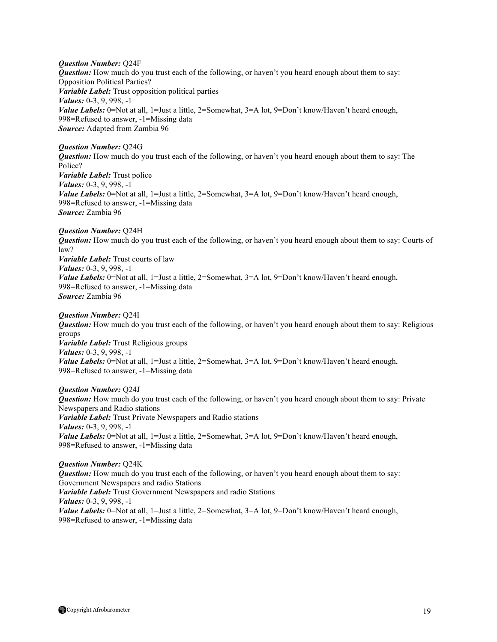*Question Number:* Q24F

*Question:* How much do you trust each of the following, or haven't you heard enough about them to say: Opposition Political Parties? *Variable Label:* Trust opposition political parties *Values:* 0-3, 9, 998, -1 *Value Labels:* 0=Not at all, 1=Just a little, 2=Somewhat, 3=A lot, 9=Don't know/Haven't heard enough, 998=Refused to answer, -1=Missing data *Source:* Adapted from Zambia 96

## *Question Number:* Q24G

*Question:* How much do you trust each of the following, or haven't you heard enough about them to say: The Police? *Variable Label:* Trust police *Values:* 0-3, 9, 998, -1 *Value Labels:* 0=Not at all, 1=Just a little, 2=Somewhat, 3=A lot, 9=Don't know/Haven't heard enough, 998=Refused to answer, -1=Missing data *Source:* Zambia 96

## *Question Number:* Q24H

*Question:* How much do you trust each of the following, or haven't you heard enough about them to say: Courts of law? *Variable Label:* Trust courts of law *Values:* 0-3, 9, 998, -1 *Value Labels:* 0=Not at all, 1=Just a little, 2=Somewhat, 3=A lot, 9=Don't know/Haven't heard enough, 998=Refused to answer, -1=Missing data *Source:* Zambia 96

### *Question Number:* Q24I

*Question:* How much do you trust each of the following, or haven't you heard enough about them to say: Religious groups *Variable Label:* Trust Religious groups *Values:* 0-3, 9, 998, -1 *Value Labels:* 0=Not at all, 1=Just a little, 2=Somewhat, 3=A lot, 9=Don't know/Haven't heard enough, 998=Refused to answer, -1=Missing data

## *Question Number:* Q24J

*Question:* How much do you trust each of the following, or haven't you heard enough about them to say: Private Newspapers and Radio stations *Variable Label:* Trust Private Newspapers and Radio stations *Values:* 0-3, 9, 998, -1 *Value Labels:* 0=Not at all, 1=Just a little, 2=Somewhat, 3=A lot, 9=Don't know/Haven't heard enough, 998=Refused to answer, -1=Missing data

# *Question Number:* Q24K

*Question:* How much do you trust each of the following, or haven't you heard enough about them to say: Government Newspapers and radio Stations *Variable Label:* Trust Government Newspapers and radio Stations *Values:* 0-3, 9, 998, -1 *Value Labels:* 0=Not at all, 1=Just a little, 2=Somewhat, 3=A lot, 9=Don't know/Haven't heard enough, 998=Refused to answer, -1=Missing data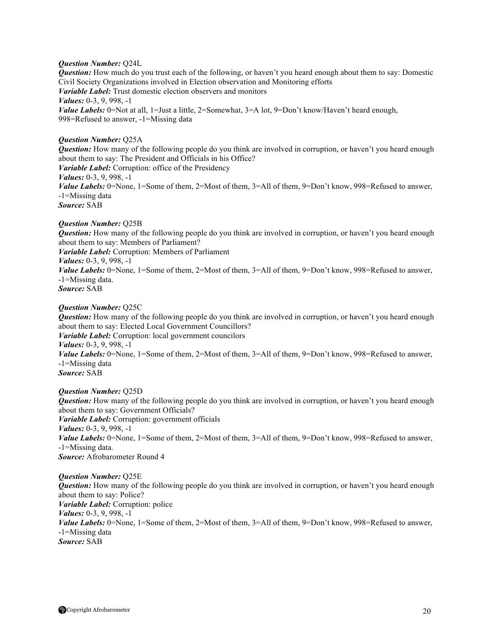## *Question Number:* Q24L

*Question:* How much do you trust each of the following, or haven't you heard enough about them to say: Domestic Civil Society Organizations involved in Election observation and Monitoring efforts *Variable Label:* Trust domestic election observers and monitors *Values:* 0-3, 9, 998, -1 *Value Labels:* 0=Not at all, 1=Just a little, 2=Somewhat, 3=A lot, 9=Don't know/Haven't heard enough, 998=Refused to answer, -1=Missing data

## *Question Number:* Q25A

*Question:* How many of the following people do you think are involved in corruption, or haven't you heard enough about them to say: The President and Officials in his Office? *Variable Label:* Corruption: office of the Presidency *Values:* 0-3, 9, 998, -1 *Value Labels:* 0=None, 1=Some of them, 2=Most of them, 3=All of them, 9=Don't know, 998=Refused to answer, -1=Missing data *Source:* SAB

## *Question Number:* Q25B

*Question:* How many of the following people do you think are involved in corruption, or haven't you heard enough about them to say: Members of Parliament?

*Variable Label:* Corruption: Members of Parliament

*Values:* 0-3, 9, 998, -1

*Value Labels:* 0=None, 1=Some of them, 2=Most of them, 3=All of them, 9=Don't know, 998=Refused to answer, -1=Missing data.

*Source:* SAB

## *Question Number:* Q25C

*Question:* How many of the following people do you think are involved in corruption, or haven't you heard enough about them to say: Elected Local Government Councillors? *Variable Label:* Corruption: local government councilors *Values:* 0-3, 9, 998, -1 *Value Labels:* 0=None, 1=Some of them, 2=Most of them, 3=All of them, 9=Don't know, 998=Refused to answer, -1=Missing data *Source:* SAB

### *Question Number:* Q25D

*Question:* How many of the following people do you think are involved in corruption, or haven't you heard enough about them to say: Government Officials? *Variable Label:* Corruption: government officials *Values:* 0-3, 9, 998, -1 *Value Labels:* 0=None, 1=Some of them, 2=Most of them, 3=All of them, 9=Don't know, 998=Refused to answer, -1=Missing data. *Source:* Afrobarometer Round 4

#### *Question Number:* Q25E

*Question:* How many of the following people do you think are involved in corruption, or haven't you heard enough about them to say: Police? *Variable Label:* Corruption: police *Values:* 0-3, 9, 998, -1 *Value Labels:* 0=None, 1=Some of them, 2=Most of them, 3=All of them, 9=Don't know, 998=Refused to answer, -1=Missing data *Source:* SAB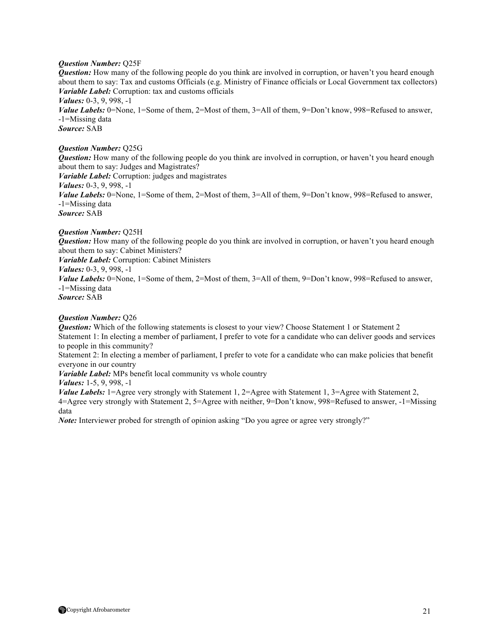## *Question Number:* Q25F

*Question:* How many of the following people do you think are involved in corruption, or haven't you heard enough about them to say: Tax and customs Officials (e.g. Ministry of Finance officials or Local Government tax collectors) *Variable Label:* Corruption: tax and customs officials *Values:* 0-3, 9, 998, -1 *Value Labels:* 0=None, 1=Some of them, 2=Most of them, 3=All of them, 9=Don't know, 998=Refused to answer, -1=Missing data *Source:* SAB

## *Question Number:* Q25G

*Question:* How many of the following people do you think are involved in corruption, or haven't you heard enough about them to say: Judges and Magistrates? *Variable Label:* Corruption: judges and magistrates *Values:* 0-3, 9, 998, -1 *Value Labels:* 0=None, 1=Some of them, 2=Most of them, 3=All of them, 9=Don't know, 998=Refused to answer, -1=Missing data *Source:* SAB

## *Question Number:* Q25H

*Question:* How many of the following people do you think are involved in corruption, or haven't you heard enough about them to say: Cabinet Ministers?

*Variable Label:* Corruption: Cabinet Ministers

*Values:* 0-3, 9, 998, -1

*Value Labels:* 0=None, 1=Some of them, 2=Most of them, 3=All of them, 9=Don't know, 998=Refused to answer, -1=Missing data

*Source:* SAB

## *Question Number:* Q26

*Question:* Which of the following statements is closest to your view? Choose Statement 1 or Statement 2 Statement 1: In electing a member of parliament, I prefer to vote for a candidate who can deliver goods and services to people in this community?

Statement 2: In electing a member of parliament, I prefer to vote for a candidate who can make policies that benefit everyone in our country

*Variable Label:* MPs benefit local community vs whole country

*Values:* 1-5, 9, 998, -1

*Value Labels:* 1=Agree very strongly with Statement 1, 2=Agree with Statement 1, 3=Agree with Statement 2, 4=Agree very strongly with Statement 2, 5=Agree with neither, 9=Don't know, 998=Refused to answer, -1=Missing data

*Note:* Interviewer probed for strength of opinion asking "Do you agree or agree very strongly?"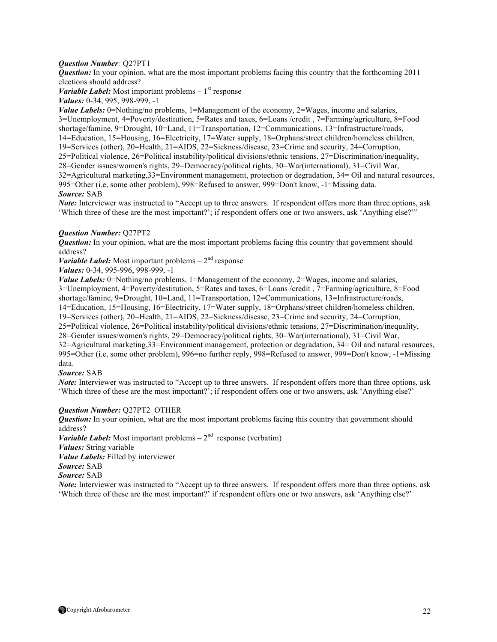## *Question Number:* Q27PT1

*Question:* In your opinion, what are the most important problems facing this country that the forthcoming 2011 elections should address?

*Variable Label:* Most important problems  $-1$ <sup>st</sup> response *Values:* 0-34, 995, 998-999, -1

*Value Labels:* 0=Nothing/no problems, 1=Management of the economy, 2=Wages, income and salaries, 3=Unemployment, 4=Poverty/destitution, 5=Rates and taxes, 6=Loans /credit , 7=Farming/agriculture, 8=Food shortage/famine, 9=Drought, 10=Land, 11=Transportation, 12=Communications, 13=Infrastructure/roads, 14=Education, 15=Housing, 16=Electricity, 17=Water supply, 18=Orphans/street children/homeless children, 19=Services (other), 20=Health, 21=AIDS, 22=Sickness/disease, 23=Crime and security, 24=Corruption, 25=Political violence, 26=Political instability/political divisions/ethnic tensions, 27=Discrimination/inequality, 28=Gender issues/women's rights, 29=Democracy/political rights, 30=War(international), 31=Civil War, 32=Agricultural marketing,33=Environment management, protection or degradation, 34= Oil and natural resources, 995=Other (i.e, some other problem), 998=Refused to answer, 999=Don't know, -1=Missing data. *Source:* SAB

*Note:* Interviewer was instructed to "Accept up to three answers. If respondent offers more than three options, ask 'Which three of these are the most important?'; if respondent offers one or two answers, ask 'Anything else?'"

### *Question Number:* Q27PT2

*Question:* In your opinion, what are the most important problems facing this country that government should address?

*Variable Label:* Most important problems  $-2<sup>nd</sup>$  response

*Values:* 0-34, 995-996, 998-999, -1

*Value Labels:* 0=Nothing/no problems, 1=Management of the economy, 2=Wages, income and salaries, 3=Unemployment, 4=Poverty/destitution, 5=Rates and taxes, 6=Loans /credit , 7=Farming/agriculture, 8=Food shortage/famine, 9=Drought, 10=Land, 11=Transportation, 12=Communications, 13=Infrastructure/roads, 14=Education, 15=Housing, 16=Electricity, 17=Water supply, 18=Orphans/street children/homeless children, 19=Services (other), 20=Health, 21=AIDS, 22=Sickness/disease, 23=Crime and security, 24=Corruption, 25=Political violence, 26=Political instability/political divisions/ethnic tensions, 27=Discrimination/inequality, 28=Gender issues/women's rights, 29=Democracy/political rights, 30=War(international), 31=Civil War, 32=Agricultural marketing,33=Environment management, protection or degradation, 34= Oil and natural resources, 995=Other (i.e, some other problem), 996=no further reply, 998=Refused to answer, 999=Don't know, -1=Missing data.

### *Source:* SAB

*Note:* Interviewer was instructed to "Accept up to three answers. If respondent offers more than three options, ask 'Which three of these are the most important?'; if respondent offers one or two answers, ask 'Anything else?'

### *Question Number:* Q27PT2\_OTHER

*Question:* In your opinion, what are the most important problems facing this country that government should address?

*Variable Label:* Most important problems  $-2^{nd}$  response (verbatim) *Values:* String variable *Value Labels:* Filled by interviewer *Source:* SAB *Source:* SAB *Note:* Interviewer was instructed to "Accept up to three answers. If respondent offers more than three options, ask 'Which three of these are the most important?' if respondent offers one or two answers, ask 'Anything else?'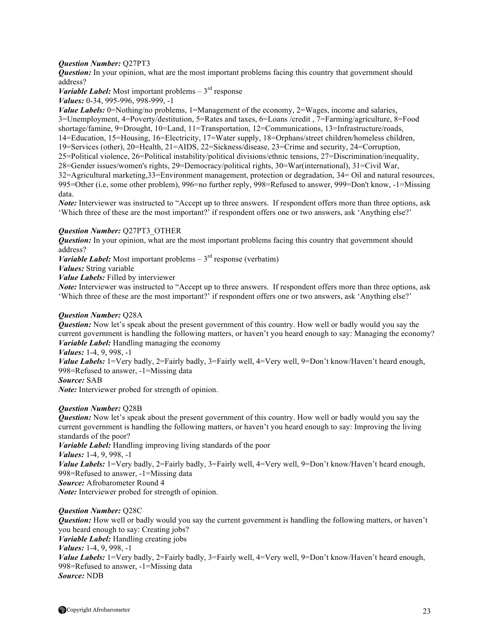## *Question Number:* Q27PT3

*Question:* In your opinion, what are the most important problems facing this country that government should address?

*Variable Label:* Most important problems  $-3<sup>rd</sup>$  response *Values:* 0-34, 995-996, 998-999, -1

*Value Labels:* 0=Nothing/no problems, 1=Management of the economy, 2=Wages, income and salaries, 3=Unemployment, 4=Poverty/destitution, 5=Rates and taxes, 6=Loans /credit , 7=Farming/agriculture, 8=Food shortage/famine, 9=Drought, 10=Land, 11=Transportation, 12=Communications, 13=Infrastructure/roads, 14=Education, 15=Housing, 16=Electricity, 17=Water supply, 18=Orphans/street children/homeless children, 19=Services (other), 20=Health, 21=AIDS, 22=Sickness/disease, 23=Crime and security, 24=Corruption, 25=Political violence, 26=Political instability/political divisions/ethnic tensions, 27=Discrimination/inequality, 28=Gender issues/women's rights, 29=Democracy/political rights, 30=War(international), 31=Civil War, 32=Agricultural marketing,33=Environment management, protection or degradation, 34= Oil and natural resources, 995=Other (i.e, some other problem), 996=no further reply, 998=Refused to answer, 999=Don't know, -1=Missing data.

*Note:* Interviewer was instructed to "Accept up to three answers. If respondent offers more than three options, ask 'Which three of these are the most important?' if respondent offers one or two answers, ask 'Anything else?'

### *Question Number:* Q27PT3\_OTHER

*Question:* In your opinion, what are the most important problems facing this country that government should address?

*Variable Label:* Most important problems  $-3<sup>rd</sup>$  response (verbatim)

*Values:* String variable

*Value Labels:* Filled by interviewer

*Note:* Interviewer was instructed to "Accept up to three answers. If respondent offers more than three options, ask 'Which three of these are the most important?' if respondent offers one or two answers, ask 'Anything else?'

## *Question Number:* Q28A

*Question:* Now let's speak about the present government of this country. How well or badly would you say the current government is handling the following matters, or haven't you heard enough to say: Managing the economy? *Variable Label:* Handling managing the economy

*Values:* 1-4, 9, 998, -1

Value Labels: 1=Very badly, 2=Fairly badly, 3=Fairly well, 4=Very well, 9=Don't know/Haven't heard enough, 998=Refused to answer, -1=Missing data

*Source:* SAB

*Note:* Interviewer probed for strength of opinion.

### *Question Number:* Q28B

*Question:* Now let's speak about the present government of this country. How well or badly would you say the current government is handling the following matters, or haven't you heard enough to say: Improving the living standards of the poor?

*Variable Label:* Handling improving living standards of the poor

*Values:* 1-4, 9, 998, -1

*Value Labels:* 1=Very badly, 2=Fairly badly, 3=Fairly well, 4=Very well, 9=Don't know/Haven't heard enough, 998=Refused to answer, -1=Missing data

*Source:* Afrobarometer Round 4

*Note:* Interviewer probed for strength of opinion.

### *Question Number:* Q28C

*Question:* How well or badly would you say the current government is handling the following matters, or haven't you heard enough to say: Creating jobs? *Variable Label:* Handling creating jobs *Values:* 1-4, 9, 998, -1 Value Labels: 1=Very badly, 2=Fairly badly, 3=Fairly well, 4=Very well, 9=Don't know/Haven't heard enough, 998=Refused to answer, -1=Missing data *Source:* NDB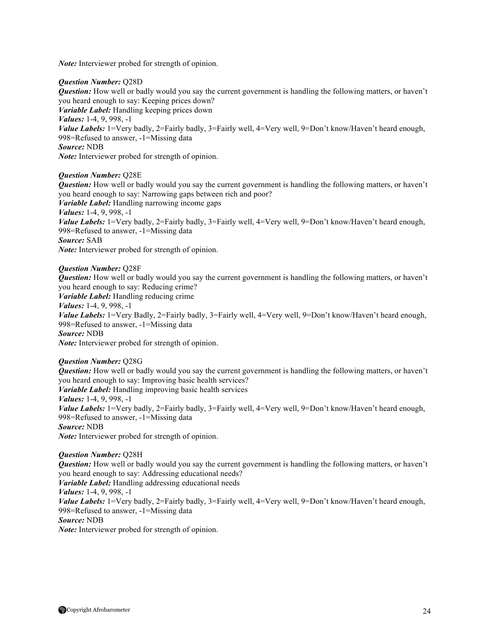*Note:* Interviewer probed for strength of opinion.

## *Question Number:* Q28D

*Question:* How well or badly would you say the current government is handling the following matters, or haven't you heard enough to say: Keeping prices down? *Variable Label:* Handling keeping prices down *Values:* 1-4, 9, 998, -1 *Value Labels:* 1=Very badly, 2=Fairly badly, 3=Fairly well, 4=Very well, 9=Don't know/Haven't heard enough, 998=Refused to answer, -1=Missing data *Source:* NDB *Note:* Interviewer probed for strength of opinion.

## *Question Number:* Q28E

*Question:* How well or badly would you say the current government is handling the following matters, or haven't you heard enough to say: Narrowing gaps between rich and poor? *Variable Label:* Handling narrowing income gaps *Values:* 1-4, 9, 998, -1 *Value Labels:* 1=Very badly, 2=Fairly badly, 3=Fairly well, 4=Very well, 9=Don't know/Haven't heard enough, 998=Refused to answer, -1=Missing data *Source:* SAB *Note:* Interviewer probed for strength of opinion.

## *Question Number:* Q28F

*Question:* How well or badly would you say the current government is handling the following matters, or haven't you heard enough to say: Reducing crime?

*Variable Label:* Handling reducing crime

*Values:* 1-4, 9, 998, -1

*Value Labels:* 1=Very Badly, 2=Fairly badly, 3=Fairly well, 4=Very well, 9=Don't know/Haven't heard enough, 998=Refused to answer, -1=Missing data

*Source:* NDB

*Note:* Interviewer probed for strength of opinion.

### *Question Number:* Q28G

*Question:* How well or badly would you say the current government is handling the following matters, or haven't you heard enough to say: Improving basic health services? *Variable Label:* Handling improving basic health services *Values:* 1-4, 9, 998, -1 *Value Labels:* 1=Very badly, 2=Fairly badly, 3=Fairly well, 4=Very well, 9=Don't know/Haven't heard enough, 998=Refused to answer, -1=Missing data *Source:* NDB *Note:* Interviewer probed for strength of opinion.

### *Question Number:* Q28H

*Question:* How well or badly would you say the current government is handling the following matters, or haven't you heard enough to say: Addressing educational needs? *Variable Label:* Handling addressing educational needs *Values:* 1-4, 9, 998, -1 *Value Labels:* 1=Very badly, 2=Fairly badly, 3=Fairly well, 4=Very well, 9=Don't know/Haven't heard enough, 998=Refused to answer, -1=Missing data *Source:* NDB *Note:* Interviewer probed for strength of opinion.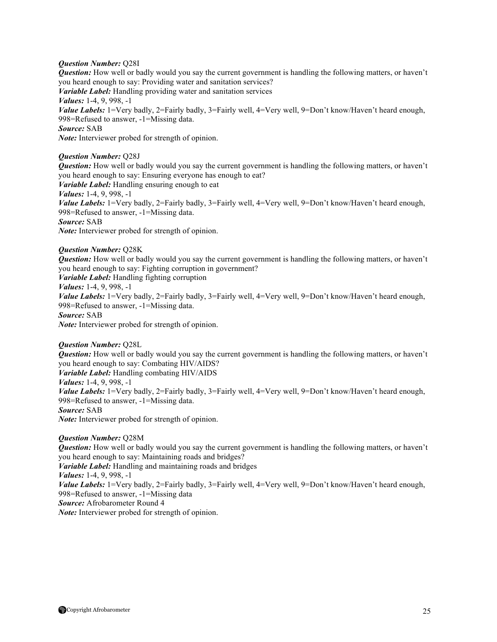## *Question Number:* Q28I

*Question:* How well or badly would you say the current government is handling the following matters, or haven't you heard enough to say: Providing water and sanitation services? *Variable Label:* Handling providing water and sanitation services *Values:* 1-4, 9, 998, -1 *Value Labels:* 1=Very badly, 2=Fairly badly, 3=Fairly well, 4=Very well, 9=Don't know/Haven't heard enough, 998=Refused to answer, -1=Missing data. *Source:* SAB *Note:* Interviewer probed for strength of opinion.

## *Question Number:* Q28J

*Question:* How well or badly would you say the current government is handling the following matters, or haven't you heard enough to say: Ensuring everyone has enough to eat?

*Variable Label:* Handling ensuring enough to eat

*Values:* 1-4, 9, 998, -1

*Value Labels:* 1=Very badly, 2=Fairly badly, 3=Fairly well, 4=Very well, 9=Don't know/Haven't heard enough, 998=Refused to answer, -1=Missing data. *Source:* SAB

*Note:* Interviewer probed for strength of opinion.

## *Question Number:* Q28K

*Question:* How well or badly would you say the current government is handling the following matters, or haven't you heard enough to say: Fighting corruption in government?

*Variable Label:* Handling fighting corruption

*Values:* 1-4, 9, 998, -1

*Value Labels:* 1=Very badly, 2=Fairly badly, 3=Fairly well, 4=Very well, 9=Don't know/Haven't heard enough, 998=Refused to answer, -1=Missing data.

*Source:* SAB

*Note:* Interviewer probed for strength of opinion.

### *Question Number:* Q28L

*Question:* How well or badly would you say the current government is handling the following matters, or haven't you heard enough to say: Combating HIV/AIDS? *Variable Label:* Handling combating HIV/AIDS

*Values:* 1-4, 9, 998, -1

*Value Labels:* 1=Very badly, 2=Fairly badly, 3=Fairly well, 4=Very well, 9=Don't know/Haven't heard enough, 998=Refused to answer, -1=Missing data.

*Source:* SAB

*Note:* Interviewer probed for strength of opinion.

*Question Number:* Q28M

*Question:* How well or badly would you say the current government is handling the following matters, or haven't you heard enough to say: Maintaining roads and bridges? *Variable Label:* Handling and maintaining roads and bridges *Values:* 1-4, 9, 998, -1 Value Labels: 1=Very badly, 2=Fairly badly, 3=Fairly well, 4=Very well, 9=Don't know/Haven't heard enough, 998=Refused to answer, -1=Missing data *Source:* Afrobarometer Round 4 *Note:* Interviewer probed for strength of opinion.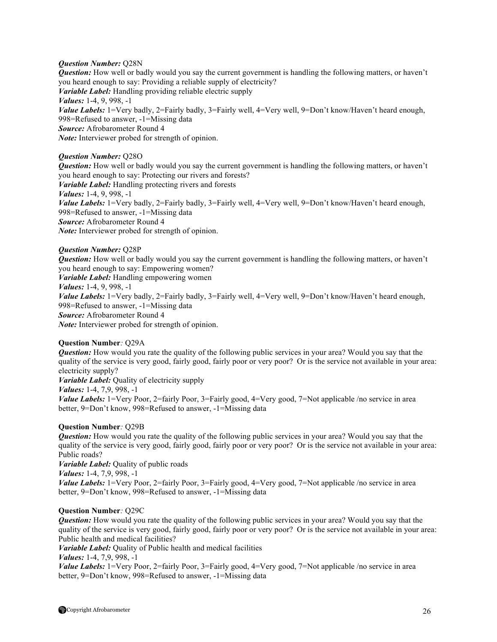## *Question Number:* Q28N

*Question:* How well or badly would you say the current government is handling the following matters, or haven't you heard enough to say: Providing a reliable supply of electricity? *Variable Label:* Handling providing reliable electric supply *Values:* 1-4, 9, 998, -1 *Value Labels:* 1=Very badly, 2=Fairly badly, 3=Fairly well, 4=Very well, 9=Don't know/Haven't heard enough, 998=Refused to answer, -1=Missing data *Source:* Afrobarometer Round 4 *Note:* Interviewer probed for strength of opinion.

## *Question Number:* Q28O

*Question:* How well or badly would you say the current government is handling the following matters, or haven't you heard enough to say: Protecting our rivers and forests? *Variable Label:* Handling protecting rivers and forests *Values:* 1-4, 9, 998, -1 *Value Labels:* 1=Very badly, 2=Fairly badly, 3=Fairly well, 4=Very well, 9=Don't know/Haven't heard enough, 998=Refused to answer, -1=Missing data *Source:* Afrobarometer Round 4 *Note:* Interviewer probed for strength of opinion.

## *Question Number:* Q28P

*Question:* How well or badly would you say the current government is handling the following matters, or haven't you heard enough to say: Empowering women? *Variable Label:* Handling empowering women *Values:* 1-4, 9, 998, -1 *Value Labels:* 1=Very badly, 2=Fairly badly, 3=Fairly well, 4=Very well, 9=Don't know/Haven't heard enough, 998=Refused to answer, -1=Missing data *Source:* Afrobarometer Round 4 *Note:* Interviewer probed for strength of opinion.

### **Question Number***:* Q29A

*Question:* How would you rate the quality of the following public services in your area? Would you say that the quality of the service is very good, fairly good, fairly poor or very poor? Or is the service not available in your area: electricity supply?

*Variable Label:* Quality of electricity supply

*Values:* 1-4, 7,9, 998, -1

*Value Labels:* 1=Very Poor, 2=fairly Poor, 3=Fairly good, 4=Very good, 7=Not applicable /no service in area better, 9=Don't know, 998=Refused to answer, -1=Missing data

### **Question Number***:* Q29B

*Question:* How would you rate the quality of the following public services in your area? Would you say that the quality of the service is very good, fairly good, fairly poor or very poor? Or is the service not available in your area: Public roads?

*Variable Label:* Quality of public roads *Values:* 1-4, 7,9, 998, -1 *Value Labels:* 1=Very Poor, 2=fairly Poor, 3=Fairly good, 4=Very good, 7=Not applicable /no service in area better, 9=Don't know, 998=Refused to answer, -1=Missing data

### **Question Number***:* Q29C

*Question:* How would you rate the quality of the following public services in your area? Would you say that the quality of the service is very good, fairly good, fairly poor or very poor? Or is the service not available in your area: Public health and medical facilities?

*Variable Label:* Quality of Public health and medical facilities

*Values:* 1-4, 7,9, 998, -1

*Value Labels:* 1=Very Poor, 2=fairly Poor, 3=Fairly good, 4=Very good, 7=Not applicable /no service in area better, 9=Don't know, 998=Refused to answer, -1=Missing data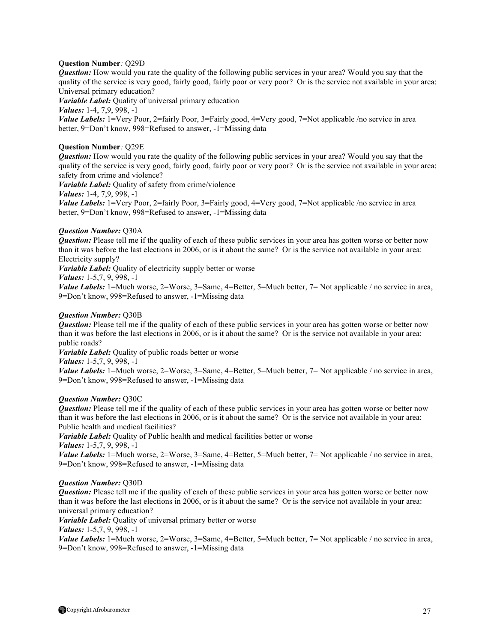## **Question Number***:* Q29D

*Question:* How would you rate the quality of the following public services in your area? Would you say that the quality of the service is very good, fairly good, fairly poor or very poor? Or is the service not available in your area: Universal primary education?

*Variable Label:* Quality of universal primary education

*Values:* 1-4, 7,9, 998, -1

*Value Labels:* 1=Very Poor, 2=fairly Poor, 3=Fairly good, 4=Very good, 7=Not applicable /no service in area better, 9=Don't know, 998=Refused to answer, -1=Missing data

## **Question Number***:* Q29E

*Question:* How would you rate the quality of the following public services in your area? Would you say that the quality of the service is very good, fairly good, fairly poor or very poor? Or is the service not available in your area: safety from crime and violence?

*Variable Label:* Quality of safety from crime/violence

*Values:* 1-4, 7,9, 998, -1

*Value Labels:* 1=Very Poor, 2=fairly Poor, 3=Fairly good, 4=Very good, 7=Not applicable /no service in area better, 9=Don't know, 998=Refused to answer, -1=Missing data

## *Question Number:* Q30A

*Question:* Please tell me if the quality of each of these public services in your area has gotten worse or better now than it was before the last elections in 2006, or is it about the same? Or is the service not available in your area: Electricity supply?

*Variable Label:* Quality of electricity supply better or worse

```
Values: 1-5,7, 9, 998, -1
```
*Value Labels:* 1=Much worse, 2=Worse, 3=Same, 4=Better, 5=Much better, 7= Not applicable / no service in area, 9=Don't know, 998=Refused to answer, -1=Missing data

## *Question Number:* Q30B

*Question:* Please tell me if the quality of each of these public services in your area has gotten worse or better now than it was before the last elections in 2006, or is it about the same? Or is the service not available in your area: public roads?

*Variable Label:* Quality of public roads better or worse

*Values:* 1-5,7, 9, 998, -1

*Value Labels:* 1=Much worse, 2=Worse, 3=Same, 4=Better, 5=Much better, 7= Not applicable / no service in area, 9=Don't know, 998=Refused to answer, -1=Missing data

### *Question Number:* Q30C

*Question:* Please tell me if the quality of each of these public services in your area has gotten worse or better now than it was before the last elections in 2006, or is it about the same? Or is the service not available in your area: Public health and medical facilities?

*Variable Label:* Quality of Public health and medical facilities better or worse

*Values:* 1-5,7, 9, 998, -1

*Value Labels:* 1=Much worse, 2=Worse, 3=Same, 4=Better, 5=Much better, 7= Not applicable / no service in area, 9=Don't know, 998=Refused to answer, -1=Missing data

### *Question Number:* Q30D

*Question:* Please tell me if the quality of each of these public services in your area has gotten worse or better now than it was before the last elections in 2006, or is it about the same? Or is the service not available in your area: universal primary education?

*Variable Label:* Quality of universal primary better or worse

*Values:* 1-5,7, 9, 998, -1

*Value Labels:* 1=Much worse, 2=Worse, 3=Same, 4=Better, 5=Much better, 7= Not applicable / no service in area, 9=Don't know, 998=Refused to answer, -1=Missing data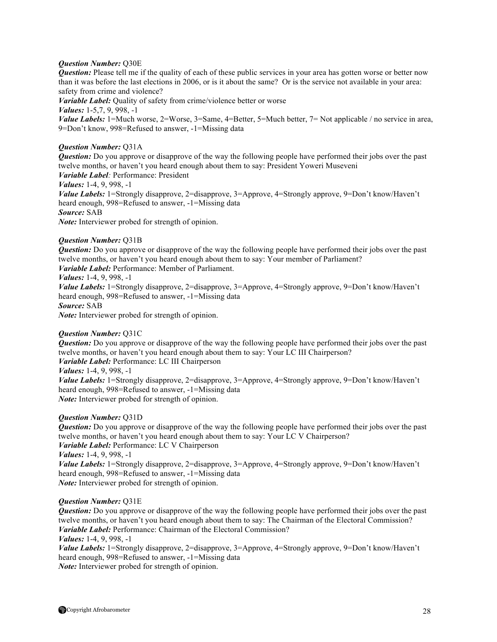## *Question Number:* Q30E

*Question:* Please tell me if the quality of each of these public services in your area has gotten worse or better now than it was before the last elections in 2006, or is it about the same? Or is the service not available in your area: safety from crime and violence?

*Variable Label:* Quality of safety from crime/violence better or worse

*Values:* 1-5,7, 9, 998, -1

*Value Labels:* 1=Much worse, 2=Worse, 3=Same, 4=Better, 5=Much better, 7= Not applicable / no service in area, 9=Don't know, 998=Refused to answer, -1=Missing data

## *Question Number:* Q31A

*Question:* Do you approve or disapprove of the way the following people have performed their jobs over the past twelve months, or haven't you heard enough about them to say: President Yoweri Museveni *Variable Label:* Performance: President

*Values:* 1-4, 9, 998, -1

*Value Labels:* 1=Strongly disapprove, 2=disapprove, 3=Approve, 4=Strongly approve, 9=Don't know/Haven't heard enough, 998=Refused to answer, -1=Missing data *Source:* SAB *Note:* Interviewer probed for strength of opinion.

## *Question Number:* Q31B

*Question:* Do you approve or disapprove of the way the following people have performed their jobs over the past twelve months, or haven't you heard enough about them to say: Your member of Parliament?

*Variable Label:* Performance: Member of Parliament.

*Values:* 1-4, 9, 998, -1

*Value Labels:* 1=Strongly disapprove, 2=disapprove, 3=Approve, 4=Strongly approve, 9=Don't know/Haven't heard enough, 998=Refused to answer, -1=Missing data *Source:* SAB

*Note:* Interviewer probed for strength of opinion.

## *Question Number:* Q31C

*Question:* Do you approve or disapprove of the way the following people have performed their jobs over the past twelve months, or haven't you heard enough about them to say: Your LC III Chairperson? *Variable Label:* Performance: LC III Chairperson *Values:* 1-4, 9, 998, -1

*Value Labels:* 1=Strongly disapprove, 2=disapprove, 3=Approve, 4=Strongly approve, 9=Don't know/Haven't heard enough, 998=Refused to answer, -1=Missing data *Note:* Interviewer probed for strength of opinion.

### *Question Number:* Q31D

*Question:* Do you approve or disapprove of the way the following people have performed their jobs over the past twelve months, or haven't you heard enough about them to say: Your LC V Chairperson? *Variable Label:* Performance: LC V Chairperson *Values:* 1-4, 9, 998, -1 *Value Labels:* 1=Strongly disapprove, 2=disapprove, 3=Approve, 4=Strongly approve, 9=Don't know/Haven't heard enough, 998=Refused to answer, -1=Missing data

*Note:* Interviewer probed for strength of opinion.

### *Question Number:* Q31E

*Question:* Do you approve or disapprove of the way the following people have performed their jobs over the past twelve months, or haven't you heard enough about them to say: The Chairman of the Electoral Commission? *Variable Label:* Performance: Chairman of the Electoral Commission?

### *Values:* 1-4, 9, 998, -1

*Value Labels:* 1=Strongly disapprove, 2=disapprove, 3=Approve, 4=Strongly approve, 9=Don't know/Haven't heard enough, 998=Refused to answer, -1=Missing data

*Note:* Interviewer probed for strength of opinion.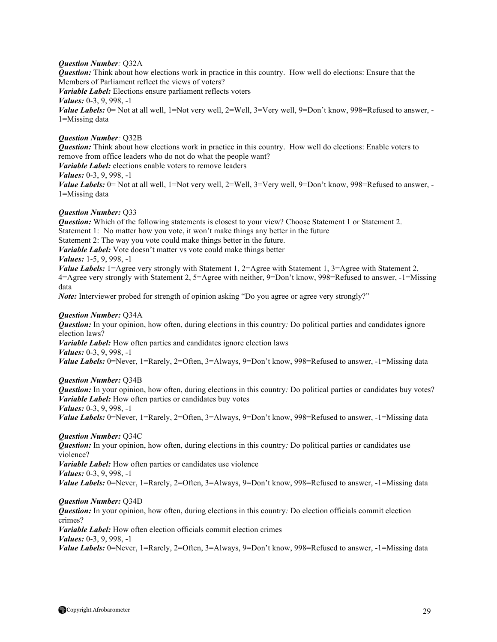## *Question Number:* Q32A

*Question:* Think about how elections work in practice in this country. How well do elections: Ensure that the Members of Parliament reflect the views of voters? *Variable Label:* Elections ensure parliament reflects voters *Values:* 0-3, 9, 998, -1 *Value Labels:* 0 = Not at all well, 1 = Not very well, 2 = Well, 3 = Very well, 9 = Don't know, 998 = Refused to answer, -1=Missing data

## *Question Number:* Q32B

*Question:* Think about how elections work in practice in this country. How well do elections: Enable voters to remove from office leaders who do not do what the people want? *Variable Label:* elections enable voters to remove leaders *Values:* 0-3, 9, 998, -1 *Value Labels:* 0 = Not at all well, 1 = Not very well, 2 = Well, 3 = Very well, 9 = Don't know, 998 = Refused to answer, -1=Missing data

### *Question Number:* Q33

*Question:* Which of the following statements is closest to your view? Choose Statement 1 or Statement 2. Statement 1: No matter how you vote, it won't make things any better in the future Statement 2: The way you vote could make things better in the future. *Variable Label:* Vote doesn't matter vs vote could make things better *Values:* 1-5, 9, 998, -1 *Value Labels:* 1=Agree very strongly with Statement 1, 2=Agree with Statement 1, 3=Agree with Statement 2,

4=Agree very strongly with Statement 2, 5=Agree with neither, 9=Don't know, 998=Refused to answer, -1=Missing data

*Note:* Interviewer probed for strength of opinion asking "Do you agree or agree very strongly?"

### *Question Number:* Q34A

*Question:* In your opinion, how often, during elections in this country*:* Do political parties and candidates ignore election laws? *Variable Label:* How often parties and candidates ignore election laws

*Values:* 0-3, 9, 998, -1

*Value Labels:* 0=Never, 1=Rarely, 2=Often, 3=Always, 9=Don't know, 998=Refused to answer, -1=Missing data

### *Question Number:* Q34B

*Question:* In your opinion, how often, during elections in this country: Do political parties or candidates buy votes? *Variable Label:* How often parties or candidates buy votes *Values:* 0-3, 9, 998, -1

*Value Labels:* 0=Never, 1=Rarely, 2=Often, 3=Always, 9=Don't know, 998=Refused to answer, -1=Missing data

### *Question Number:* Q34C

*Question:* In your opinion, how often, during elections in this country*:* Do political parties or candidates use violence?

*Variable Label:* How often parties or candidates use violence *Values:* 0-3, 9, 998, -1 *Value Labels:* 0=Never, 1=Rarely, 2=Often, 3=Always, 9=Don't know, 998=Refused to answer, -1=Missing data

## *Question Number:* Q34D

*Question:* In your opinion, how often, during elections in this country*:* Do election officials commit election crimes?

*Variable Label:* How often election officials commit election crimes *Values:* 0-3, 9, 998, -1

Value Labels: 0=Never, 1=Rarely, 2=Often, 3=Always, 9=Don't know, 998=Refused to answer, -1=Missing data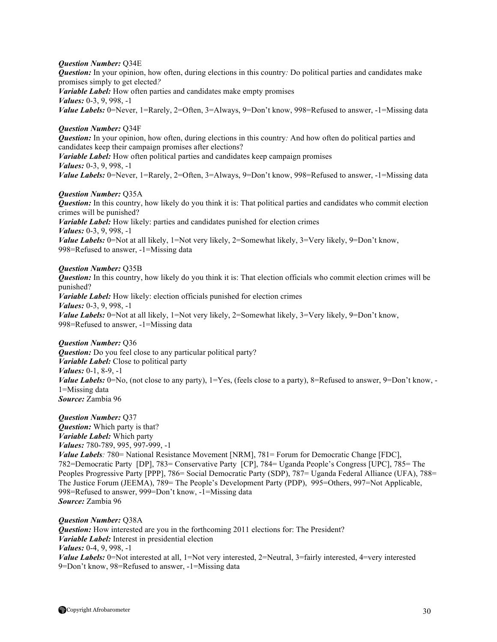### *Question Number:* Q34E

*Question:* In your opinion, how often, during elections in this country: Do political parties and candidates make promises simply to get elected*? Variable Label:* How often parties and candidates make empty promises *Values:* 0-3, 9, 998, -1 *Value Labels:* 0=Never, 1=Rarely, 2=Often, 3=Always, 9=Don't know, 998=Refused to answer, -1=Missing data

## *Question Number:* Q34F

*Question:* In your opinion, how often, during elections in this country*:* And how often do political parties and candidates keep their campaign promises after elections? *Variable Label:* How often political parties and candidates keep campaign promises *Values:* 0-3, 9, 998, -1

*Value Labels:* 0=Never, 1=Rarely, 2=Often, 3=Always, 9=Don't know, 998=Refused to answer, -1=Missing data

#### *Question Number:* Q35A

*Question:* In this country, how likely do you think it is: That political parties and candidates who commit election crimes will be punished? *Variable Label:* How likely: parties and candidates punished for election crimes *Values:* 0-3, 9, 998, -1 *Value Labels:* 0=Not at all likely, 1=Not very likely, 2=Somewhat likely, 3=Very likely, 9=Don't know, 998=Refused to answer, -1=Missing data

### *Question Number:* Q35B

*Question:* In this country, how likely do you think it is: That election officials who commit election crimes will be punished? *Variable Label:* How likely: election officials punished for election crimes *Values:* 0-3, 9, 998, -1 *Value Labels:* 0=Not at all likely, 1=Not very likely, 2=Somewhat likely, 3=Very likely, 9=Don't know, 998=Refused to answer, -1=Missing data

## *Question Number:* Q36

*Question:* Do you feel close to any particular political party? *Variable Label:* Close to political party *Values:* 0-1, 8-9, -1 *Value Labels:* 0=No, (not close to any party), 1=Yes, (feels close to a party), 8=Refused to answer, 9=Don't know, -1=Missing data *Source:* Zambia 96

## *Question Number:* Q37

*Question:* Which party is that? *Variable Label:* Which party *Values:* 780-789, 995, 997-999, -1 *Value Labels:* 780= National Resistance Movement [NRM], 781= Forum for Democratic Change [FDC], 782=Democratic Party [DP], 783= Conservative Party [CP], 784= Uganda People's Congress [UPC], 785= The Peoples Progressive Party [PPP], 786= Social Democratic Party (SDP), 787= Uganda Federal Alliance (UFA), 788= The Justice Forum (JEEMA), 789= The People's Development Party (PDP), 995=Others, 997=Not Applicable, 998=Refused to answer, 999=Don't know, -1=Missing data *Source:* Zambia 96

### *Question Number:* Q38A

*Question:* How interested are you in the forthcoming 2011 elections for: The President? *Variable Label:* Interest in presidential election *Values:* 0-4, 9, 998, -1 *Value Labels:* 0=Not interested at all, 1=Not very interested, 2=Neutral, 3=fairly interested, 4=very interested 9=Don't know, 98=Refused to answer, -1=Missing data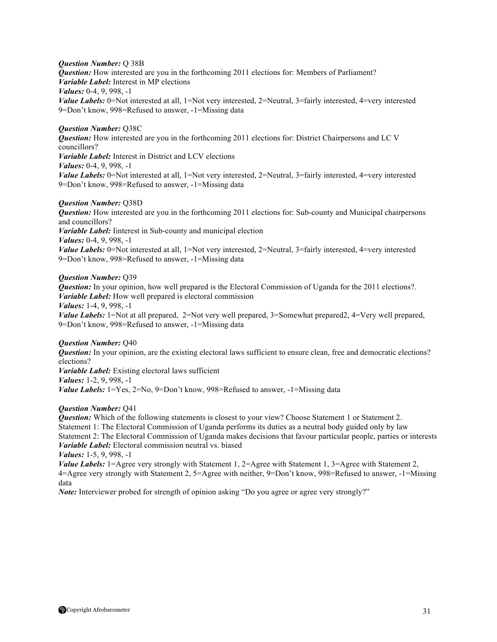### *Question Number:* Q 38B

*Question:* How interested are you in the forthcoming 2011 elections for: Members of Parliament? *Variable Label:* Interest in MP elections

*Values:* 0-4, 9, 998, -1

*Value Labels:* 0=Not interested at all, 1=Not very interested, 2=Neutral, 3=fairly interested, 4=very interested 9=Don't know, 998=Refused to answer, -1=Missing data

## *Question Number:* Q38C

*Question:* How interested are you in the forthcoming 2011 elections for: District Chairpersons and LC V councillors? *Variable Label:* Interest in District and LCV elections *Values:* 0-4, 9, 998, -1

*Value Labels:* 0=Not interested at all, 1=Not very interested, 2=Neutral, 3=fairly interested, 4=very interested 9=Don't know, 998=Refused to answer, -1=Missing data

## *Question Number:* Q38D

*Question:* How interested are you in the forthcoming 2011 elections for: Sub-county and Municipal chairpersons and councillors?

*Variable Label:* Iinterest in Sub-county and municipal election

*Values:* 0-4, 9, 998, -1

*Value Labels:* 0=Not interested at all, 1=Not very interested, 2=Neutral, 3=fairly interested, 4=very interested 9=Don't know, 998=Refused to answer, -1=Missing data

## *Question Number:* Q39

*Question:* In your opinion, how well prepared is the Electoral Commission of Uganda for the 2011 elections?. *Variable Label:* How well prepared is electoral commission *Values:* 1-4, 9, 998, -1 *Value Labels:* 1=Not at all prepared, 2=Not very well prepared, 3=Somewhat prepared2, 4=Very well prepared,

9=Don't know, 998=Refused to answer, -1=Missing data

## *Question Number:* Q40

*Question:* In your opinion, are the existing electoral laws sufficient to ensure clean, free and democratic elections? elections?

*Variable Label:* Existing electoral laws sufficient *Values:* 1-2, 9, 998, -1 *Value Labels:*  $1 = Yes, 2 = No, 9 = Don't know, 998 = Refused to answer, -1 = Missing data$ 

### *Question Number:* Q41

*Question:* Which of the following statements is closest to your view? Choose Statement 1 or Statement 2. Statement 1: The Electoral Commission of Uganda performs its duties as a neutral body guided only by law Statement 2: The Electoral Commission of Uganda makes decisions that favour particular people, parties or interests *Variable Label:* Electoral commission neutral vs. biased

*Values:* 1-5, 9, 998, -1

*Value Labels:* 1=Agree very strongly with Statement 1, 2=Agree with Statement 1, 3=Agree with Statement 2, 4=Agree very strongly with Statement 2, 5=Agree with neither, 9=Don't know, 998=Refused to answer, -1=Missing data

*Note:* Interviewer probed for strength of opinion asking "Do you agree or agree very strongly?"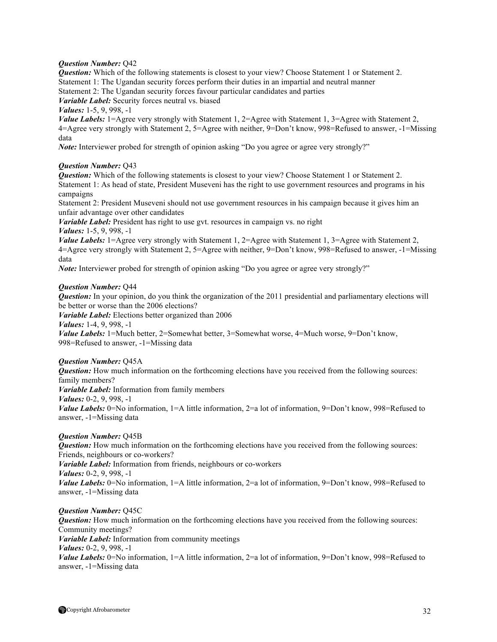## *Question Number:* Q42

*Question:* Which of the following statements is closest to your view? Choose Statement 1 or Statement 2. Statement 1: The Ugandan security forces perform their duties in an impartial and neutral manner Statement 2: The Ugandan security forces favour particular candidates and parties

*Variable Label:* Security forces neutral vs. biased

*Values:* 1-5, 9, 998, -1

*Value Labels:* 1=Agree very strongly with Statement 1, 2=Agree with Statement 1, 3=Agree with Statement 2, 4=Agree very strongly with Statement 2, 5=Agree with neither, 9=Don't know, 998=Refused to answer, -1=Missing data

*Note:* Interviewer probed for strength of opinion asking "Do you agree or agree very strongly?"

## *Question Number:* Q43

*Question:* Which of the following statements is closest to your view? Choose Statement 1 or Statement 2. Statement 1: As head of state, President Museveni has the right to use government resources and programs in his campaigns

Statement 2: President Museveni should not use government resources in his campaign because it gives him an unfair advantage over other candidates

*Variable Label:* President has right to use gvt. resources in campaign vs. no right *Values:* 1-5, 9, 998, -1

*Value Labels:* 1=Agree very strongly with Statement 1, 2=Agree with Statement 1, 3=Agree with Statement 2, 4=Agree very strongly with Statement 2, 5=Agree with neither, 9=Don't know, 998=Refused to answer, -1=Missing data

*Note:* Interviewer probed for strength of opinion asking "Do you agree or agree very strongly?"

## *Question Number:* Q44

*Question:* In your opinion, do you think the organization of the 2011 presidential and parliamentary elections will be better or worse than the 2006 elections?

*Variable Label:* Elections better organized than 2006 *Values:* 1-4, 9, 998, -1

*Value Labels:* 1=Much better, 2=Somewhat better, 3=Somewhat worse, 4=Much worse, 9=Don't know, 998=Refused to answer, -1=Missing data

### *Question Number:* Q45A

*Question:* How much information on the forthcoming elections have you received from the following sources: family members? *Variable Label:* Information from family members *Values:* 0-2, 9, 998, -1 *Value Labels:* 0=No information, 1=A little information, 2=a lot of information, 9=Don't know, 998=Refused to

*Question Number:* Q45B

answer, -1=Missing data

*Question:* How much information on the forthcoming elections have you received from the following sources: Friends, neighbours or co-workers? *Variable Label:* Information from friends, neighbours or co-workers *Values:* 0-2, 9, 998, -1 *Value Labels:* 0=No information, 1=A little information, 2=a lot of information, 9=Don't know, 998=Refused to answer, -1=Missing data

*Question Number:* Q45C *Question:* How much information on the forthcoming elections have you received from the following sources: Community meetings? *Variable Label:* Information from community meetings *Values:* 0-2, 9, 998, -1 *Value Labels:* 0=No information, 1=A little information, 2=a lot of information, 9=Don't know, 998=Refused to answer, -1=Missing data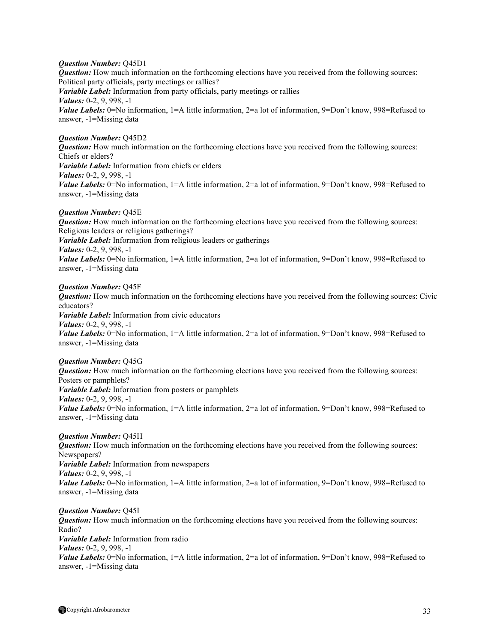## *Question Number:* Q45D1

*Question:* How much information on the forthcoming elections have you received from the following sources: Political party officials, party meetings or rallies? *Variable Label:* Information from party officials, party meetings or rallies *Values:* 0-2, 9, 998, -1 *Value Labels:* 0=No information, 1=A little information, 2=a lot of information, 9=Don't know, 998=Refused to answer, -1=Missing data

## *Question Number:* Q45D2

*Question:* How much information on the forthcoming elections have you received from the following sources: Chiefs or elders? *Variable Label:* Information from chiefs or elders *Values:* 0-2, 9, 998, -1 *Value Labels:* 0=No information, 1=A little information, 2=a lot of information, 9=Don't know, 998=Refused to answer, -1=Missing data

## *Question Number:* Q45E

*Question:* How much information on the forthcoming elections have you received from the following sources: Religious leaders or religious gatherings? *Variable Label:* Information from religious leaders or gatherings *Values:* 0-2, 9, 998, -1 *Value Labels:* 0=No information, 1=A little information, 2=a lot of information, 9=Don't know, 998=Refused to answer, -1=Missing data

### *Question Number:* Q45F

*Question:* How much information on the forthcoming elections have you received from the following sources: Civic educators? *Variable Label:* Information from civic educators *Values:* 0-2, 9, 998, -1

*Value Labels:* 0=No information, 1=A little information, 2=a lot of information, 9=Don't know, 998=Refused to answer, -1=Missing data

## *Question Number:* Q45G

*Question:* How much information on the forthcoming elections have you received from the following sources: Posters or pamphlets? *Variable Label:* Information from posters or pamphlets *Values:* 0-2, 9, 998, -1 *Value Labels:* 0=No information, 1=A little information, 2=a lot of information, 9=Don't know, 998=Refused to answer, -1=Missing data

## *Question Number:* Q45H

*Question:* How much information on the forthcoming elections have you received from the following sources: Newspapers? *Variable Label:* Information from newspapers *Values:* 0-2, 9, 998, -1 *Value Labels:* 0=No information, 1=A little information, 2=a lot of information, 9=Don't know, 998=Refused to answer, -1=Missing data

*Question Number:* Q45I *Question:* How much information on the forthcoming elections have you received from the following sources: Radio? *Variable Label:* Information from radio *Values:* 0-2, 9, 998, -1 *Value Labels:* 0=No information, 1=A little information, 2=a lot of information, 9=Don't know, 998=Refused to answer, -1=Missing data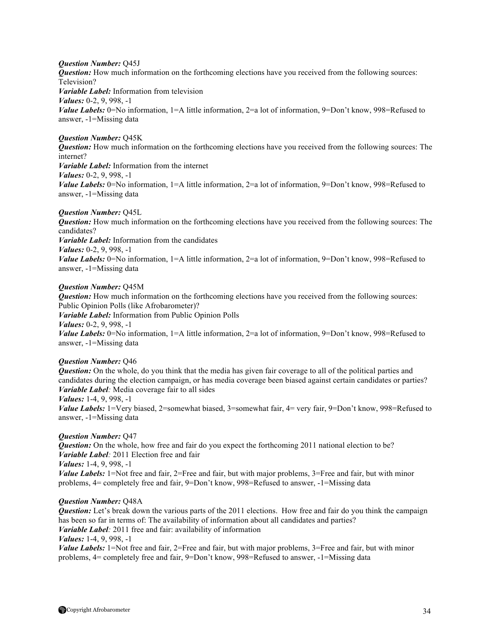## *Question Number:* Q45J

*Question:* How much information on the forthcoming elections have you received from the following sources: Television? *Variable Label:* Information from television *Values:* 0-2, 9, 998, -1 *Value Labels:* 0=No information, 1=A little information, 2=a lot of information, 9=Don't know, 998=Refused to answer, -1=Missing data

## *Question Number:* Q45K

*Question:* How much information on the forthcoming elections have you received from the following sources: The internet? *Variable Label:* Information from the internet *Values:* 0-2, 9, 998, -1 *Value Labels:* 0=No information, 1=A little information, 2=a lot of information, 9=Don't know, 998=Refused to answer, -1=Missing data

### *Question Number:* Q45L

*Question:* How much information on the forthcoming elections have you received from the following sources: The candidates? *Variable Label:* Information from the candidates *Values:* 0-2, 9, 998, -1 *Value Labels:* 0=No information, 1=A little information, 2=a lot of information, 9=Don't know, 998=Refused to answer, -1=Missing data

## *Question Number:* Q45M

*Question:* How much information on the forthcoming elections have you received from the following sources: Public Opinion Polls (like Afrobarometer)?

*Variable Label:* Information from Public Opinion Polls

*Values:* 0-2, 9, 998, -1

*Value Labels:* 0=No information, 1=A little information, 2=a lot of information, 9=Don't know, 998=Refused to answer, -1=Missing data

## *Question Number:* Q46

*Question:* On the whole, do you think that the media has given fair coverage to all of the political parties and candidates during the election campaign, or has media coverage been biased against certain candidates or parties? *Variable Label:* Media coverage fair to all sides

*Values:* 1-4, 9, 998, -1

*Value Labels:* 1=Very biased, 2=somewhat biased, 3=somewhat fair, 4= very fair, 9=Don't know, 998=Refused to answer, -1=Missing data

### *Question Number:* Q47

*Question:* On the whole, how free and fair do you expect the forthcoming 2011 national election to be? *Variable Label:* 2011 Election free and fair *Values:* 1-4, 9, 998, -1 *Value Labels:* 1=Not free and fair, 2=Free and fair, but with major problems, 3=Free and fair, but with minor problems, 4= completely free and fair, 9=Don't know, 998=Refused to answer, -1=Missing data

## *Question Number:* Q48A

*Question:* Let's break down the various parts of the 2011 elections. How free and fair do you think the campaign has been so far in terms of: The availability of information about all candidates and parties? *Variable Label:* 2011 free and fair: availability of information *Values:* 1-4, 9, 998, -1

*Value Labels:* 1=Not free and fair, 2=Free and fair, but with major problems, 3=Free and fair, but with minor problems, 4= completely free and fair, 9=Don't know, 998=Refused to answer, -1=Missing data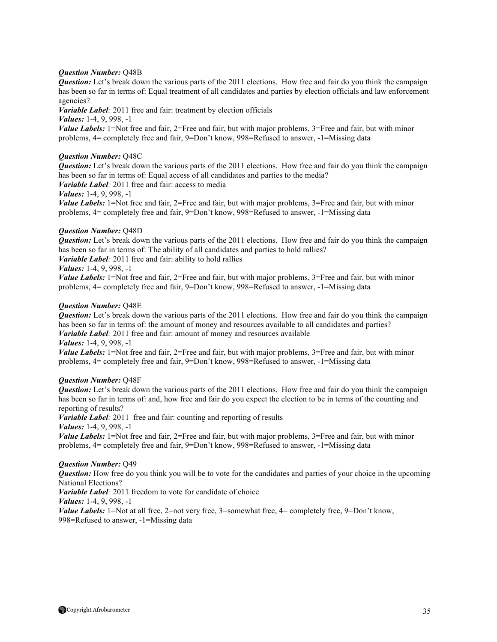## *Question Number:* Q48B

*Question:* Let's break down the various parts of the 2011 elections. How free and fair do you think the campaign has been so far in terms of: Equal treatment of all candidates and parties by election officials and law enforcement agencies?

*Variable Label:* 2011 free and fair: treatment by election officials

*Values:* 1-4, 9, 998, -1

*Value Labels:* 1=Not free and fair, 2=Free and fair, but with major problems, 3=Free and fair, but with minor problems, 4= completely free and fair, 9=Don't know, 998=Refused to answer, -1=Missing data

## *Question Number:* Q48C

*Question:* Let's break down the various parts of the 2011 elections. How free and fair do you think the campaign has been so far in terms of: Equal access of all candidates and parties to the media?

*Variable Label:* 2011 free and fair: access to media

### *Values:* 1-4, 9, 998, -1

*Value Labels:* 1=Not free and fair, 2=Free and fair, but with major problems, 3=Free and fair, but with minor problems, 4= completely free and fair, 9=Don't know, 998=Refused to answer, -1=Missing data

## *Question Number:* Q48D

*Question:* Let's break down the various parts of the 2011 elections. How free and fair do you think the campaign has been so far in terms of: The ability of all candidates and parties to hold rallies? *Variable Label:* 2011 free and fair: ability to hold rallies

## *Values:* 1-4, 9, 998, -1

*Value Labels:* 1=Not free and fair, 2=Free and fair, but with major problems, 3=Free and fair, but with minor problems, 4= completely free and fair, 9=Don't know, 998=Refused to answer, -1=Missing data

## *Question Number:* Q48E

*Question:* Let's break down the various parts of the 2011 elections. How free and fair do you think the campaign has been so far in terms of: the amount of money and resources available to all candidates and parties? *Variable Label*: 2011 free and fair: amount of money and resources available *Values:* 1-4, 9, 998, -1

*Value Labels:* 1=Not free and fair, 2=Free and fair, but with major problems, 3=Free and fair, but with minor problems, 4= completely free and fair, 9=Don't know, 998=Refused to answer, -1=Missing data

### *Question Number:* Q48F

*Question:* Let's break down the various parts of the 2011 elections. How free and fair do you think the campaign has been so far in terms of: and, how free and fair do you expect the election to be in terms of the counting and reporting of results?

*Variable Label*: 2011 free and fair: counting and reporting of results

*Values:* 1-4, 9, 998, -1

*Value Labels:* 1=Not free and fair, 2=Free and fair, but with major problems, 3=Free and fair, but with minor problems, 4= completely free and fair, 9=Don't know, 998=Refused to answer, -1=Missing data

### *Question Number:* Q49

*Question:* How free do you think you will be to vote for the candidates and parties of your choice in the upcoming National Elections?

*Variable Label*: 2011 freedom to vote for candidate of choice

*Values:* 1-4, 9, 998, -1

*Value Labels:* 1=Not at all free, 2=not very free, 3=somewhat free, 4= completely free, 9=Don't know, 998=Refused to answer, -1=Missing data

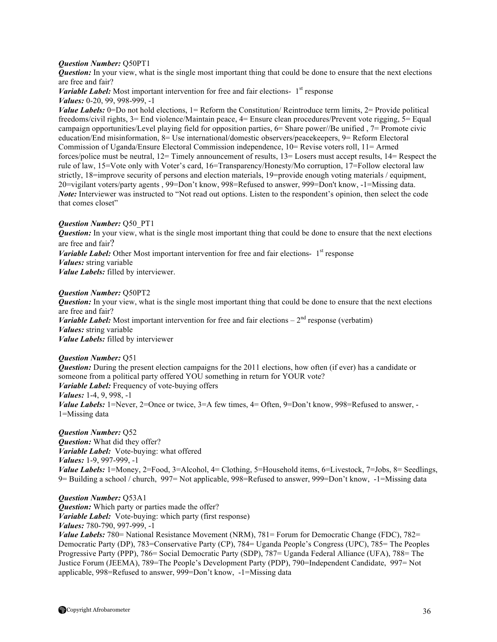### *Question Number:* Q50PT1

*Question:* In your view, what is the single most important thing that could be done to ensure that the next elections are free and fair?

*Variable Label:* Most important intervention for free and fair elections- 1<sup>st</sup> response *Values:* 0-20, 99, 998-999, -1

*Value Labels:* 0=Do not hold elections, 1= Reform the Constitution/ Reintroduce term limits, 2= Provide political freedoms/civil rights, 3= End violence/Maintain peace, 4= Ensure clean procedures/Prevent vote rigging, 5= Equal campaign opportunities/Level playing field for opposition parties, 6= Share power//Be unified , 7= Promote civic education/End misinformation, 8= Use international/domestic observers/peacekeepers, 9= Reform Electoral Commission of Uganda/Ensure Electoral Commission independence, 10= Revise voters roll, 11= Armed forces/police must be neutral, 12= Timely announcement of results, 13= Losers must accept results, 14= Respect the rule of law, 15=Vote only with Voter's card, 16=Transparency/Honesty/Mo corruption, 17=Follow electoral law strictly, 18=improve security of persons and election materials, 19=provide enough voting materials / equipment, 20=vigilant voters/party agents , 99=Don't know, 998=Refused to answer, 999=Don't know, -1=Missing data. *Note:* Interviewer was instructed to "Not read out options. Listen to the respondent's opinion, then select the code that comes closet"

#### *Question Number:* Q50\_PT1

*Question:* In your view, what is the single most important thing that could be done to ensure that the next elections are free and fair? *Variable Label:* Other Most important intervention for free and fair elections-  $1<sup>st</sup>$  response *Values:* string variable *Value Labels:* filled by interviewer.

#### *Question Number:* Q50PT2

*Question:* In your view, what is the single most important thing that could be done to ensure that the next elections are free and fair? *Variable Label:* Most important intervention for free and fair elections  $-2<sup>nd</sup>$  response (verbatim) *Values:* string variable *Value Labels:* filled by interviewer

#### *Question Number:* Q51

*Question:* During the present election campaigns for the 2011 elections, how often (if ever) has a candidate or someone from a political party offered YOU something in return for YOUR vote? *Variable Label:* Frequency of vote-buying offers *Values:* 1-4, 9, 998, -1 *Value Labels:* 1=Never, 2=Once or twice, 3=A few times, 4= Often, 9=Don't know, 998=Refused to answer, -1=Missing data

*Question Number:* Q52 *Question:* What did they offer? *Variable Label:* Vote-buying: what offered *Values:* 1-9, 997-999, -1 *Value Labels:* 1=Money, 2=Food, 3=Alcohol, 4= Clothing, 5=Household items, 6=Livestock, 7=Jobs, 8= Seedlings, 9= Building a school / church, 997= Not applicable, 998=Refused to answer, 999=Don't know, -1=Missing data

*Question Number:* Q53A1 *Question:* Which party or parties made the offer? *Variable Label:* Vote-buying: which party (first response) *Values:* 780-790, 997-999, -1 *Value Labels:* 780= National Resistance Movement (NRM), 781= Forum for Democratic Change (FDC), 782= Democratic Party (DP), 783=Conservative Party (CP), 784= Uganda People's Congress (UPC), 785= The Peoples Progressive Party (PPP), 786= Social Democratic Party (SDP), 787= Uganda Federal Alliance (UFA), 788= The Justice Forum (JEEMA), 789=The People's Development Party (PDP), 790=Independent Candidate, 997= Not applicable, 998=Refused to answer, 999=Don't know, -1=Missing data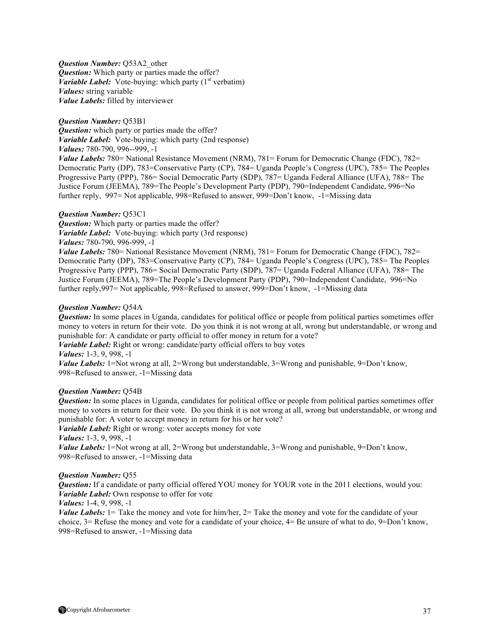*Question Number:* Q53A2\_other *Question:* Which party or parties made the offer? *Variable Label:* Vote-buying: which party  $(1<sup>st</sup>$  verbatim) *Values:* string variable *Value Labels:* filled by interviewer

## *Question Number:* Q53B1

*Question:* which party or parties made the offer? *Variable Label:* Vote-buying: which party (2nd response)

*Values:* 780-790, 996--999, -1

*Value Labels:* 780= National Resistance Movement (NRM), 781= Forum for Democratic Change (FDC), 782= Democratic Party (DP), 783=Conservative Party (CP), 784= Uganda People's Congress (UPC), 785= The Peoples Progressive Party (PPP), 786= Social Democratic Party (SDP), 787= Uganda Federal Alliance (UFA), 788= The Justice Forum (JEEMA), 789=The People's Development Party (PDP), 790=Independent Candidate, 996=No further reply, 997= Not applicable, 998=Refused to answer, 999=Don't know, -1=Missing data

## *Question Number:* Q53C1

*Question:* Which party or parties made the offer? *Variable Label:* Vote-buying: which party (3rd response) *Values:* 780-790, 996-999, -1

*Value Labels:* 780= National Resistance Movement (NRM), 781= Forum for Democratic Change (FDC), 782= Democratic Party (DP), 783=Conservative Party (CP), 784= Uganda People's Congress (UPC), 785= The Peoples Progressive Party (PPP), 786= Social Democratic Party (SDP), 787= Uganda Federal Alliance (UFA), 788= The Justice Forum (JEEMA), 789=The People's Development Party (PDP), 790=Independent Candidate, 996=No further reply,997= Not applicable, 998=Refused to answer, 999=Don't know, -1=Missing data

## *Question Number:* Q54A

*Question:* In some places in Uganda, candidates for political office or people from political parties sometimes offer money to voters in return for their vote. Do you think it is not wrong at all, wrong but understandable, or wrong and punishable for: A candidate or party official to offer money in return for a vote?

*Variable Label:* Right or wrong: candidate/party official offers to buy votes

*Values:* 1-3, 9, 998, -1

*Value Labels:* 1=Not wrong at all, 2=Wrong but understandable, 3=Wrong and punishable, 9=Don't know, 998=Refused to answer, -1=Missing data

### *Question Number:* Q54B

*Question:* In some places in Uganda, candidates for political office or people from political parties sometimes offer money to voters in return for their vote. Do you think it is not wrong at all, wrong but understandable, or wrong and punishable for: A voter to accept money in return for his or her vote?

*Variable Label:* Right or wrong: voter accepts money for vote

*Values:* 1-3, 9, 998, -1

*Value Labels:* 1=Not wrong at all, 2=Wrong but understandable, 3=Wrong and punishable, 9=Don't know, 998=Refused to answer, -1=Missing data

### *Question Number:* Q55

*Question:* If a candidate or party official offered YOU money for YOUR vote in the 2011 elections, would you: *Variable Label:* Own response to offer for vote

## *Values:* 1-4, 9, 998, -1

*Value Labels:* 1= Take the money and vote for him/her, 2= Take the money and vote for the candidate of your choice, 3= Refuse the money and vote for a candidate of your choice, 4= Be unsure of what to do, 9=Don't know, 998=Refused to answer, -1=Missing data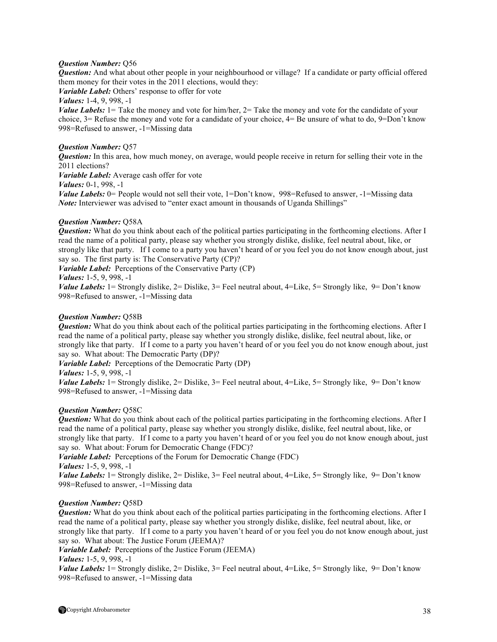## *Question Number:* Q56

*Question:* And what about other people in your neighbourhood or village? If a candidate or party official offered them money for their votes in the 2011 elections, would they:

*Variable Label:* Others' response to offer for vote

*Values:* 1-4, 9, 998, -1

*Value Labels:* 1= Take the money and vote for him/her, 2= Take the money and vote for the candidate of your choice, 3= Refuse the money and vote for a candidate of your choice, 4= Be unsure of what to do, 9=Don't know 998=Refused to answer, -1=Missing data

## *Question Number:* Q57

*Question:* In this area, how much money, on average, would people receive in return for selling their vote in the 2011 elections?

*Variable Label:* Average cash offer for vote

*Values:* 0-1, 998, -1

*Value Labels:* 0= People would not sell their vote, 1=Don't know, 998=Refused to answer, -1=Missing data *Note:* Interviewer was advised to "enter exact amount in thousands of Uganda Shillings"

## *Question Number:* Q58A

*Question:* What do you think about each of the political parties participating in the forthcoming elections. After I read the name of a political party, please say whether you strongly dislike, dislike, feel neutral about, like, or strongly like that party. If I come to a party you haven't heard of or you feel you do not know enough about, just say so. The first party is: The Conservative Party (CP)?

*Variable Label:* Perceptions of the Conservative Party (CP)

## *Values:* 1-5, 9, 998, -1

*Value Labels:* 1 = Strongly dislike, 2 = Dislike, 3 = Feel neutral about, 4 = Like, 5 = Strongly like, 9 = Don't know 998=Refused to answer, -1=Missing data

## *Question Number:* Q58B

*Question:* What do you think about each of the political parties participating in the forthcoming elections. After I read the name of a political party, please say whether you strongly dislike, dislike, feel neutral about, like, or strongly like that party. If I come to a party you haven't heard of or you feel you do not know enough about, just say so. What about: The Democratic Party (DP)?

*Variable Label:* Perceptions of the Democratic Party (DP)

*Values:* 1-5, 9, 998, -1

*Value Labels:* 1 = Strongly dislike, 2 = Dislike, 3 = Feel neutral about, 4 = Like, 5 = Strongly like, 9 = Don't know 998=Refused to answer, -1=Missing data

## *Question Number:* Q58C

*Question:* What do you think about each of the political parties participating in the forthcoming elections. After I read the name of a political party, please say whether you strongly dislike, dislike, feel neutral about, like, or strongly like that party. If I come to a party you haven't heard of or you feel you do not know enough about, just say so. What about: Forum for Democratic Change (FDC)?

*Variable Label:* Perceptions of the Forum for Democratic Change (FDC)

```
Values: 1-5, 9, 998, -1
```
*Value Labels:* 1 = Strongly dislike, 2 = Dislike, 3 = Feel neutral about, 4 = Like, 5 = Strongly like, 9 = Don't know 998=Refused to answer, -1=Missing data

## *Question Number:* Q58D

*Question:* What do you think about each of the political parties participating in the forthcoming elections. After I read the name of a political party, please say whether you strongly dislike, dislike, feel neutral about, like, or strongly like that party. If I come to a party you haven't heard of or you feel you do not know enough about, just say so. What about: The Justice Forum (JEEMA)?

*Variable Label:* Perceptions of the Justice Forum (JEEMA)

*Values:* 1-5, 9, 998, -1

*Value Labels:* 1 = Strongly dislike, 2 = Dislike, 3 = Feel neutral about, 4 = Like, 5 = Strongly like, 9 = Don't know 998=Refused to answer, -1=Missing data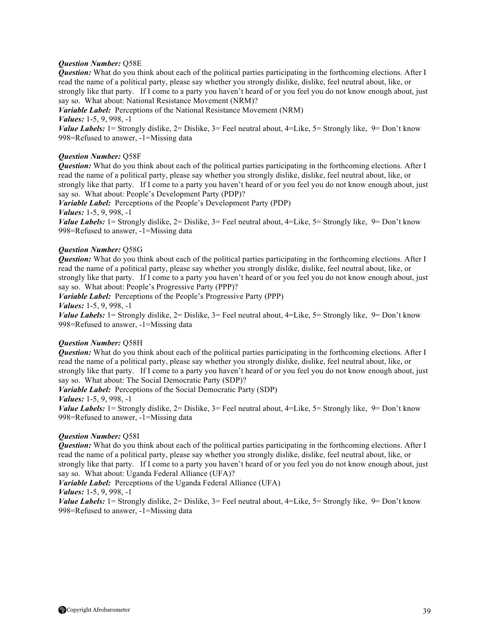## *Question Number:* Q58E

*Question:* What do you think about each of the political parties participating in the forthcoming elections. After I read the name of a political party, please say whether you strongly dislike, dislike, feel neutral about, like, or strongly like that party. If I come to a party you haven't heard of or you feel you do not know enough about, just say so. What about: National Resistance Movement (NRM)?

*Variable Label:* Perceptions of the National Resistance Movement (NRM)

*Values:* 1-5, 9, 998, -1

*Value Labels:* 1 = Strongly dislike, 2 = Dislike, 3 = Feel neutral about, 4 = Like, 5 = Strongly like, 9 = Don't know 998=Refused to answer, -1=Missing data

## *Question Number:* Q58F

*Question:* What do you think about each of the political parties participating in the forthcoming elections. After I read the name of a political party, please say whether you strongly dislike, dislike, feel neutral about, like, or strongly like that party. If I come to a party you haven't heard of or you feel you do not know enough about, just say so. What about: People's Development Party (PDP)?

*Variable Label:* Perceptions of the People's Development Party (PDP) *Values:* 1-5, 9, 998, -1

*Value Labels:* 1 = Strongly dislike, 2 = Dislike, 3 = Feel neutral about, 4 = Like, 5 = Strongly like, 9 = Don't know 998=Refused to answer, -1=Missing data

## *Question Number:* Q58G

*Question:* What do you think about each of the political parties participating in the forthcoming elections. After I read the name of a political party, please say whether you strongly dislike, dislike, feel neutral about, like, or strongly like that party. If I come to a party you haven't heard of or you feel you do not know enough about, just say so. What about: People's Progressive Party (PPP)?

*Variable Label:* Perceptions of the People's Progressive Party (PPP)

*Values:* 1-5, 9, 998, -1

*Value Labels:* 1 = Strongly dislike, 2 = Dislike, 3 = Feel neutral about, 4 = Like, 5 = Strongly like, 9 = Don't know 998=Refused to answer, -1=Missing data

### *Question Number:* Q58H

*Question:* What do you think about each of the political parties participating in the forthcoming elections. After I read the name of a political party, please say whether you strongly dislike, dislike, feel neutral about, like, or strongly like that party. If I come to a party you haven't heard of or you feel you do not know enough about, just say so. What about: The Social Democratic Party (SDP)?

*Variable Label:* Perceptions of the Social Democratic Party (SDP) *Values:* 1-5, 9, 998, -1

*Value Labels:* 1 = Strongly dislike, 2 = Dislike, 3 = Feel neutral about, 4 = Like, 5 = Strongly like, 9 = Don't know 998=Refused to answer, -1=Missing data

### *Question Number:* Q58I

*Question:* What do you think about each of the political parties participating in the forthcoming elections. After I read the name of a political party, please say whether you strongly dislike, dislike, feel neutral about, like, or strongly like that party. If I come to a party you haven't heard of or you feel you do not know enough about, just say so. What about: Uganda Federal Alliance (UFA)?

*Variable Label:* Perceptions of the Uganda Federal Alliance (UFA)

## *Values:* 1-5, 9, 998, -1

*Value Labels:* 1= Strongly dislike, 2= Dislike, 3= Feel neutral about, 4=Like, 5= Strongly like, 9= Don't know 998=Refused to answer, -1=Missing data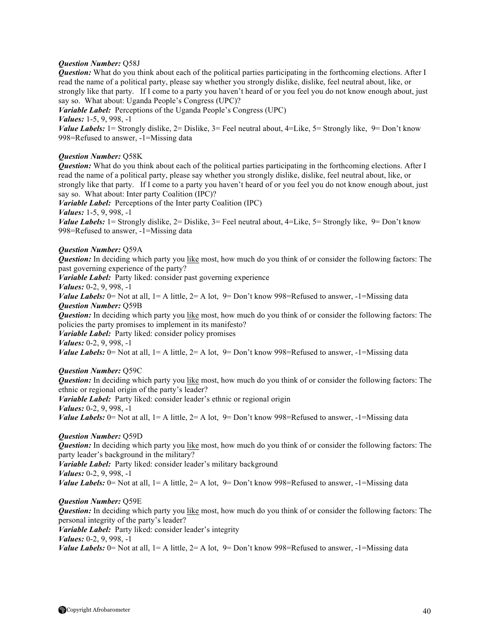## *Question Number:* Q58J

*Question:* What do you think about each of the political parties participating in the forthcoming elections. After I read the name of a political party, please say whether you strongly dislike, dislike, feel neutral about, like, or strongly like that party. If I come to a party you haven't heard of or you feel you do not know enough about, just say so. What about: Uganda People's Congress (UPC)?

*Variable Label:* Perceptions of the Uganda People's Congress (UPC)

*Values:* 1-5, 9, 998, -1

*Value Labels:* 1= Strongly dislike, 2= Dislike, 3= Feel neutral about, 4=Like, 5= Strongly like, 9= Don't know 998=Refused to answer, -1=Missing data

## *Question Number:* Q58K

*Question:* What do you think about each of the political parties participating in the forthcoming elections. After I read the name of a political party, please say whether you strongly dislike, dislike, feel neutral about, like, or strongly like that party. If I come to a party you haven't heard of or you feel you do not know enough about, just say so. What about: Inter party Coalition (IPC)?

*Variable Label:* Perceptions of the Inter party Coalition (IPC)

*Values:* 1-5, 9, 998, -1

*Value Labels:* 1 = Strongly dislike, 2 = Dislike, 3 = Feel neutral about, 4 = Like, 5 = Strongly like, 9 = Don't know 998=Refused to answer, -1=Missing data

## *Question Number:* Q59A

*Question:* In deciding which party you like most, how much do you think of or consider the following factors: The past governing experience of the party?

*Variable Label:* Party liked: consider past governing experience

*Values:* 0-2, 9, 998, -1

*Value Labels:*  $0 =$  Not at all,  $1 =$  A little,  $2 =$  A lot,  $9 =$  Don't know 998=Refused to answer,  $-1 =$ Missing data *Question Number:* Q59B

*Question:* In deciding which party you like most, how much do you think of or consider the following factors: The policies the party promises to implement in its manifesto?

*Variable Label:* Party liked: consider policy promises

*Values:* 0-2, 9, 998, -1

*Value Labels:* 0 = Not at all,  $1 = A$  little,  $2 = A$  lot,  $9 = Don't know 998$  = Refused to answer,  $-1$  = Missing data

## *Question Number:* Q59C

*Question:* In deciding which party you like most, how much do you think of or consider the following factors: The ethnic or regional origin of the party's leader?

*Variable Label:* Party liked: consider leader's ethnic or regional origin

*Values:* 0-2, 9, 998, -1

*Value Labels:*  $0 =$  Not at all,  $1 =$  A little,  $2 =$  A lot,  $9 =$  Don't know 998=Refused to answer,  $-1 =$ Missing data

## *Question Number:* Q59D

*Question:* In deciding which party you like most, how much do you think of or consider the following factors: The party leader's background in the military?

*Variable Label:* Party liked: consider leader's military background *Values:* 0-2, 9, 998, -1 *Value Labels:*  $0 =$  Not at all,  $1 =$  A little,  $2 =$  A lot,  $9 =$  Don't know 998=Refused to answer,  $-1 =$ Missing data

## *Question Number:* Q59E

*Question:* In deciding which party you like most, how much do you think of or consider the following factors: The personal integrity of the party's leader?

*Variable Label:* Party liked: consider leader's integrity

*Values:* 0-2, 9, 998, -1

*Value Labels:* 0 = Not at all,  $1 = A$  little,  $2 = A$  lot,  $9 = Don't know 998$  = Refused to answer,  $-1$  = Missing data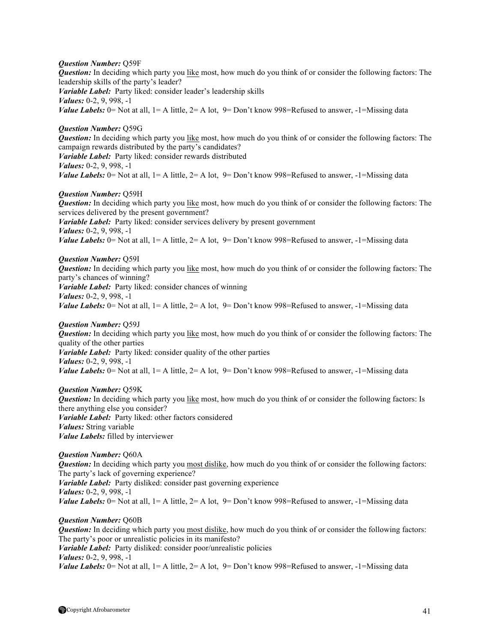### *Question Number:* Q59F

*Question:* In deciding which party you like most, how much do you think of or consider the following factors: The leadership skills of the party's leader? *Variable Label:* Party liked: consider leader's leadership skills *Values:* 0-2, 9, 998, -1 *Value Labels:*  $0 =$  Not at all,  $1 =$  A little,  $2 =$  A lot,  $9 =$  Don't know 998=Refused to answer,  $-1 =$ Missing data

*Question Number:* Q59G *Question:* In deciding which party you like most, how much do you think of or consider the following factors: The campaign rewards distributed by the party's candidates? *Variable Label:* Party liked: consider rewards distributed *Values:* 0-2, 9, 998, -1 *Value Labels:*  $0 =$  Not at all,  $1 =$  A little,  $2 =$  A lot,  $9 =$  Don't know 998=Refused to answer,  $-1 =$ Missing data

### *Question Number:* Q59H

*Question:* In deciding which party you like most, how much do you think of or consider the following factors: The services delivered by the present government? *Variable Label:* Party liked: consider services delivery by present government *Values:* 0-2, 9, 998, -1 *Value Labels:* 0 = Not at all,  $1 = A$  little,  $2 = A$  lot,  $9 = Don't know 998$  = Refused to answer,  $-1$  = Missing data

*Question Number:* Q59I *Question:* In deciding which party you like most, how much do you think of or consider the following factors: The party's chances of winning? *Variable Label:* Party liked: consider chances of winning *Values:* 0-2, 9, 998, -1 *Value Labels:*  $0 =$  Not at all,  $1 =$  A little,  $2 =$  A lot,  $9 =$  Don't know 998=Refused to answer,  $-1 =$ Missing data

#### *Question Number:* Q59J

*Question:* In deciding which party you like most, how much do you think of or consider the following factors: The quality of the other parties *Variable Label:* Party liked: consider quality of the other parties *Values:* 0-2, 9, 998, -1

*Value Labels:*  $0 =$  Not at all,  $1 =$  A little,  $2 =$  A lot,  $9 =$  Don't know 998=Refused to answer,  $-1 =$ Missing data

## *Question Number:* Q59K

*Question:* In deciding which party you like most, how much do you think of or consider the following factors: Is there anything else you consider? *Variable Label:* Party liked: other factors considered *Values:* String variable *Value Labels:* filled by interviewer

### *Question Number:* Q60A

*Question:* In deciding which party you most dislike, how much do you think of or consider the following factors: The party's lack of governing experience? *Variable Label:* Party disliked: consider past governing experience *Values:* 0-2, 9, 998, -1 *Value Labels:* 0 = Not at all,  $1 = A$  little,  $2 = A$  lot,  $9 = Don't know 998$  = Refused to answer,  $-1$  = Missing data

## *Question Number:* Q60B

*Question:* In deciding which party you most dislike, how much do you think of or consider the following factors: The party's poor or unrealistic policies in its manifesto? *Variable Label:* Party disliked: consider poor/unrealistic policies *Values:* 0-2, 9, 998, -1 *Value Labels:*  $0 =$  Not at all,  $1 =$  A little,  $2 =$  A lot,  $9 =$  Don't know 998=Refused to answer,  $-1 =$ Missing data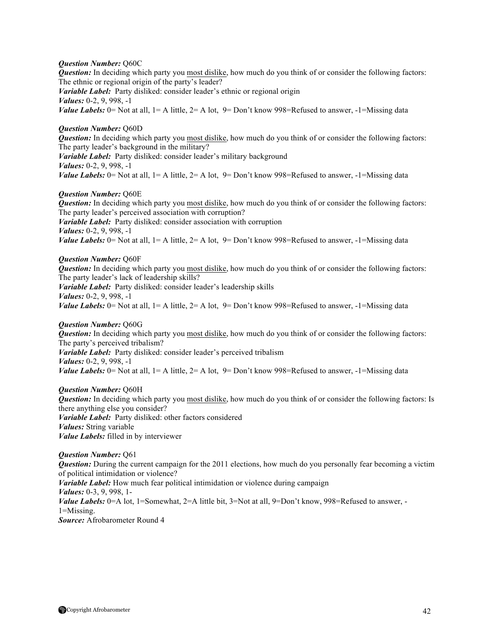## *Question Number:* Q60C

*Question:* In deciding which party you most dislike, how much do you think of or consider the following factors: The ethnic or regional origin of the party's leader?

*Variable Label:* Party disliked: consider leader's ethnic or regional origin *Values:* 0-2, 9, 998, -1 *Value Labels:*  $0 =$  Not at all,  $1 =$  A little,  $2 =$  A lot,  $9 =$  Don't know 998=Refused to answer,  $-1 =$ Missing data

## *Question Number:* Q60D

*Question:* In deciding which party you most dislike, how much do you think of or consider the following factors: The party leader's background in the military?

*Variable Label:* Party disliked: consider leader's military background *Values:* 0-2, 9, 998, -1 *Value Labels:*  $0 =$  Not at all,  $1 =$  A little,  $2 =$  A lot,  $9 =$  Don't know 998=Refused to answer,  $-1 =$ Missing data

## *Question Number:* Q60E

*Question:* In deciding which party you most dislike, how much do you think of or consider the following factors: The party leader's perceived association with corruption? *Variable Label:* Party disliked: consider association with corruption *Values:* 0-2, 9, 998, -1 *Value Labels:* 0 = Not at all,  $1 = A$  little,  $2 = A$  lot,  $9 = Don't know 998$  = Refused to answer,  $-1$  = Missing data

## *Question Number:* Q60F

*Question:* In deciding which party you most dislike, how much do you think of or consider the following factors: The party leader's lack of leadership skills?

*Variable Label:* Party disliked: consider leader's leadership skills

*Values:* 0-2, 9, 998, -1

*Value Labels:*  $0 =$  Not at all,  $1 =$  A little,  $2 =$  A lot,  $9 =$  Don't know 998=Refused to answer,  $-1 =$ Missing data

## *Question Number:* Q60G

*Question:* In deciding which party you most dislike, how much do you think of or consider the following factors: The party's perceived tribalism?

*Variable Label:* Party disliked: consider leader's perceived tribalism

*Values:* 0-2, 9, 998, -1

*Value Labels:*  $0 =$  Not at all,  $1 =$  A little,  $2 =$  A lot,  $9 =$  Don't know 998=Refused to answer,  $-1 =$ Missing data

## *Question Number:* Q60H

*Question:* In deciding which party you most dislike, how much do you think of or consider the following factors: Is there anything else you consider? *Variable Label:* Party disliked: other factors considered *Values:* String variable

*Value Labels:* filled in by interviewer

## *Question Number:* Q61

*Question:* During the current campaign for the 2011 elections, how much do you personally fear becoming a victim of political intimidation or violence? *Variable Label:* How much fear political intimidation or violence during campaign *Values:* 0-3, 9, 998, 1- *Value Labels:* 0=A lot, 1=Somewhat, 2=A little bit, 3=Not at all, 9=Don't know, 998=Refused to answer, -1=Missing.

*Source:* Afrobarometer Round 4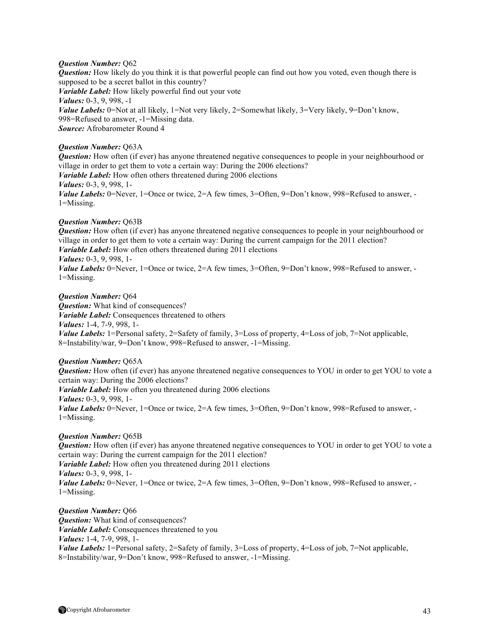## *Question Number:* Q62

*Question:* How likely do you think it is that powerful people can find out how you voted, even though there is supposed to be a secret ballot in this country? *Variable Label:* How likely powerful find out your vote *Values:* 0-3, 9, 998, -1 *Value Labels:* 0=Not at all likely, 1=Not very likely, 2=Somewhat likely, 3=Very likely, 9=Don't know, 998=Refused to answer, -1=Missing data. *Source:* Afrobarometer Round 4

## *Question Number:* Q63A

*Question:* How often (if ever) has anyone threatened negative consequences to people in your neighbourhood or village in order to get them to vote a certain way: During the 2006 elections? *Variable Label:* How often others threatened during 2006 elections *Values:* 0-3, 9, 998, 1- *Value Labels:* 0=Never, 1=Once or twice, 2=A few times, 3=Often, 9=Don't know, 998=Refused to answer, -1=Missing.

## *Question Number:* Q63B

*Question:* How often (if ever) has anyone threatened negative consequences to people in your neighbourhood or village in order to get them to vote a certain way: During the current campaign for the 2011 election? *Variable Label:* How often others threatened during 2011 elections *Values:* 0-3, 9, 998, 1- *Value Labels:* 0=Never, 1=Once or twice, 2=A few times, 3=Often, 9=Don't know, 998=Refused to answer, -

1=Missing.

#### *Question Number:* Q64

*Question:* What kind of consequences? *Variable Label:* Consequences threatened to others *Values:* 1-4, 7-9, 998, 1- *Value Labels:* 1=Personal safety, 2=Safety of family, 3=Loss of property, 4=Loss of job, 7=Not applicable, 8=Instability/war, 9=Don't know, 998=Refused to answer, -1=Missing.

### *Question Number:* Q65A

*Question:* How often (if ever) has anyone threatened negative consequences to YOU in order to get YOU to vote a certain way: During the 2006 elections? *Variable Label:* How often you threatened during 2006 elections *Values:* 0-3, 9, 998, 1- *Value Labels:* 0=Never, 1=Once or twice, 2=A few times, 3=Often, 9=Don't know, 998=Refused to answer, -1=Missing.

## *Question Number:* Q65B

*Question:* How often (if ever) has anyone threatened negative consequences to YOU in order to get YOU to vote a certain way: During the current campaign for the 2011 election? *Variable Label:* How often you threatened during 2011 elections *Values:* 0-3, 9, 998, 1- *Value Labels:* 0=Never, 1=Once or twice, 2=A few times, 3=Often, 9=Don't know, 998=Refused to answer, -1=Missing.

*Question Number: 066 Question:* What kind of consequences? *Variable Label:* Consequences threatened to you *Values:* 1-4, 7-9, 998, 1- *Value Labels:* 1=Personal safety, 2=Safety of family, 3=Loss of property, 4=Loss of job, 7=Not applicable, 8=Instability/war, 9=Don't know, 998=Refused to answer, -1=Missing.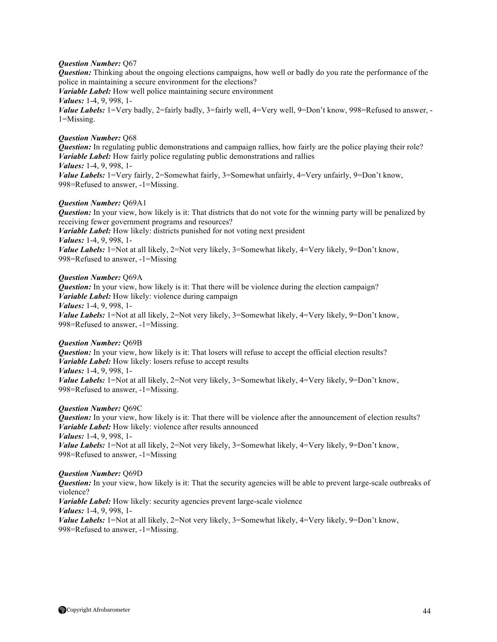## *Question Number:* Q67

*Question:* Thinking about the ongoing elections campaigns, how well or badly do you rate the performance of the police in maintaining a secure environment for the elections?

*Variable Label:* How well police maintaining secure environment *Values:* 1-4, 9, 998, 1- *Value Labels:* 1=Very badly, 2=fairly badly, 3=fairly well, 4=Very well, 9=Don't know, 998=Refused to answer, -1=Missing.

## *Question Number:* Q68

*Question:* In regulating public demonstrations and campaign rallies, how fairly are the police playing their role? *Variable Label:* How fairly police regulating public demonstrations and rallies *Values:* 1-4, 9, 998, 1- *Value Labels:* 1=Very fairly, 2=Somewhat fairly, 3=Somewhat unfairly, 4=Very unfairly, 9=Don't know, 998=Refused to answer, -1=Missing.

### *Question Number:* Q69A1

*Question:* In your view, how likely is it: That districts that do not vote for the winning party will be penalized by receiving fewer government programs and resources? *Variable Label:* How likely: districts punished for not voting next president *Values:* 1-4, 9, 998, 1- *Value Labels:* 1=Not at all likely, 2=Not very likely, 3=Somewhat likely, 4=Very likely, 9=Don't know, 998=Refused to answer, -1=Missing

### *Question Number:* Q69A

*Question:* In your view, how likely is it: That there will be violence during the election campaign? *Variable Label:* How likely: violence during campaign *Values:* 1-4, 9, 998, 1- *Value Labels:* 1=Not at all likely, 2=Not very likely, 3=Somewhat likely, 4=Very likely, 9=Don't know,

## *Question Number:* Q69B

*Question:* In your view, how likely is it: That losers will refuse to accept the official election results? *Variable Label:* How likely: losers refuse to accept results *Values:* 1-4, 9, 998, 1- *Value Labels:* 1=Not at all likely, 2=Not very likely, 3=Somewhat likely, 4=Very likely, 9=Don't know,

998=Refused to answer, -1=Missing.

998=Refused to answer, -1=Missing.

### *Question Number:* Q69C

*Question:* In your view, how likely is it: That there will be violence after the announcement of election results? *Variable Label:* How likely: violence after results announced *Values:* 1-4, 9, 998, 1- *Value Labels:* 1=Not at all likely, 2=Not very likely, 3=Somewhat likely, 4=Very likely, 9=Don't know, 998=Refused to answer, -1=Missing

## *Question Number:* Q69D

*Question:* In your view, how likely is it: That the security agencies will be able to prevent large-scale outbreaks of violence?

*Variable Label:* How likely: security agencies prevent large-scale violence *Values:* 1-4, 9, 998, 1-

*Value Labels:* 1=Not at all likely, 2=Not very likely, 3=Somewhat likely, 4=Very likely, 9=Don't know, 998=Refused to answer, -1=Missing.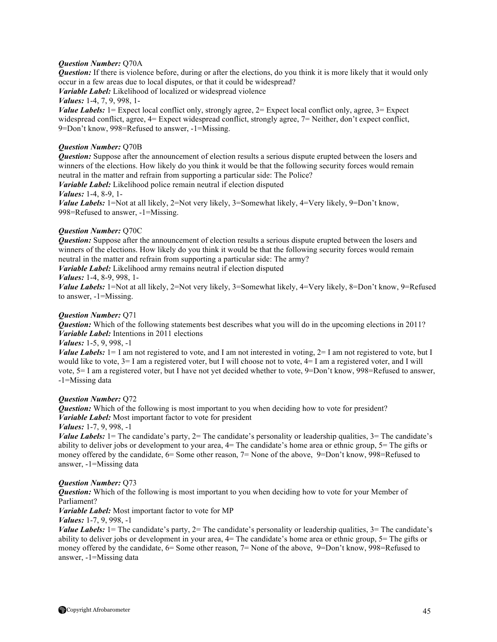## *Question Number:* Q70A

*Question:* If there is violence before, during or after the elections, do you think it is more likely that it would only occur in a few areas due to local disputes, or that it could be widespread?

*Variable Label:* Likelihood of localized or widespread violence

*Values:* 1-4, 7, 9, 998, 1-

*Value Labels:* 1= Expect local conflict only, strongly agree, 2= Expect local conflict only, agree, 3= Expect widespread conflict, agree,  $4=$  Expect widespread conflict, strongly agree,  $7=$  Neither, don't expect conflict, 9=Don't know, 998=Refused to answer, -1=Missing.

## *Question Number:* Q70B

*Question:* Suppose after the announcement of election results a serious dispute erupted between the losers and winners of the elections. How likely do you think it would be that the following security forces would remain neutral in the matter and refrain from supporting a particular side: The Police?

*Variable Label:* Likelihood police remain neutral if election disputed

### *Values:* 1-4, 8-9, 1-

*Value Labels:* 1=Not at all likely, 2=Not very likely, 3=Somewhat likely, 4=Very likely, 9=Don't know, 998=Refused to answer, -1=Missing.

## *Question Number:* Q70C

*Question:* Suppose after the announcement of election results a serious dispute erupted between the losers and winners of the elections. How likely do you think it would be that the following security forces would remain neutral in the matter and refrain from supporting a particular side: The army?

*Variable Label:* Likelihood army remains neutral if election disputed

## *Values:* 1-4, 8-9, 998, 1-

*Value Labels:* 1=Not at all likely, 2=Not very likely, 3=Somewhat likely, 4=Very likely, 8=Don't know, 9=Refused to answer, -1=Missing.

## *Question Number:* Q71

*Question:* Which of the following statements best describes what you will do in the upcoming elections in 2011? *Variable Label:* Intentions in 2011 elections

## *Values:* 1-5, 9, 998, -1

*Value Labels:* 1= I am not registered to vote, and I am not interested in voting, 2= I am not registered to vote, but I would like to vote, 3= I am a registered voter, but I will choose not to vote, 4= I am a registered voter, and I will vote, 5= I am a registered voter, but I have not yet decided whether to vote, 9=Don't know, 998=Refused to answer, -1=Missing data

### *Question Number:* Q72

*Question:* Which of the following is most important to you when deciding how to vote for president? *Variable Label:* Most important factor to vote for president

### *Values:* 1-7, 9, 998, -1

*Value Labels:* 1 = The candidate's party, 2 = The candidate's personality or leadership qualities, 3 = The candidate's ability to deliver jobs or development to your area,  $4=$  The candidate's home area or ethnic group,  $5=$  The gifts or money offered by the candidate, 6= Some other reason, 7= None of the above, 9=Don't know, 998=Refused to answer, -1=Missing data

### *Question Number:* Q73

*Question:* Which of the following is most important to you when deciding how to vote for your Member of Parliament?

*Variable Label:* Most important factor to vote for MP

*Values:* 1-7, 9, 998, -1

*Value Labels:* 1 = The candidate's party, 2 = The candidate's personality or leadership qualities, 3 = The candidate's ability to deliver jobs or development in your area, 4= The candidate's home area or ethnic group, 5= The gifts or money offered by the candidate, 6= Some other reason, 7= None of the above, 9=Don't know, 998=Refused to answer, -1=Missing data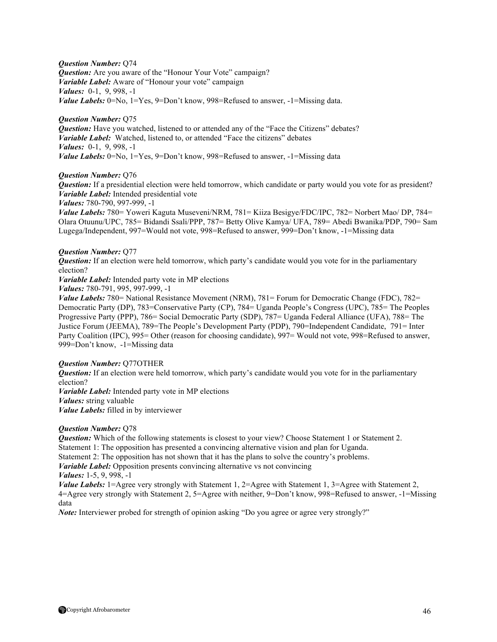*Question Number:* Q74 *Question:* Are you aware of the "Honour Your Vote" campaign? *Variable Label:* Aware of "Honour your vote" campaign *Values:* 0-1, 9, 998, -1 *Value Labels:* 0=No, 1=Yes, 9=Don't know, 998=Refused to answer, -1=Missing data.

## *Question Number:* Q75

*Question:* Have you watched, listened to or attended any of the "Face the Citizens" debates? *Variable Label:* Watched, listened to, or attended "Face the citizens" debates *Values:* 0-1, 9, 998, -1 *Value Labels:* 0=No, 1=Yes, 9=Don't know, 998=Refused to answer, -1=Missing data

## *Question Number:* Q76

*Question:* If a presidential election were held tomorrow, which candidate or party would you vote for as president? *Variable Label:* Intended presidential vote

*Values:* 780-790, 997-999, -1

*Value Labels:* 780= Yoweri Kaguta Museveni/NRM, 781= Kiiza Besigye/FDC/IPC, 782= Norbert Mao/ DP, 784= Olara Otuunu/UPC, 785= Bidandi Ssali/PPP, 787= Betty Olive Kamya/ UFA, 789= Abedi Bwanika/PDP, 790= Sam Lugega/Independent, 997=Would not vote, 998=Refused to answer, 999=Don't know, -1=Missing data

### *Question Number:* Q77

*Question:* If an election were held tomorrow, which party's candidate would you vote for in the parliamentary election?

*Variable Label:* Intended party vote in MP elections

*Values:* 780-791, 995, 997-999, -1

*Value Labels:* 780= National Resistance Movement (NRM), 781= Forum for Democratic Change (FDC), 782= Democratic Party (DP), 783=Conservative Party (CP), 784= Uganda People's Congress (UPC), 785= The Peoples Progressive Party (PPP), 786= Social Democratic Party (SDP), 787= Uganda Federal Alliance (UFA), 788= The Justice Forum (JEEMA), 789=The People's Development Party (PDP), 790=Independent Candidate, 791= Inter Party Coalition (IPC), 995= Other (reason for choosing candidate), 997= Would not vote, 998=Refused to answer, 999=Don't know, -1=Missing data

## *Question Number:* Q77OTHER

*Question:* If an election were held tomorrow, which party's candidate would you vote for in the parliamentary election? *Variable Label:* Intended party vote in MP elections

*Values:* string valuable

*Value Labels:* filled in by interviewer

### *Question Number:* Q78

*Question:* Which of the following statements is closest to your view? Choose Statement 1 or Statement 2. Statement 1: The opposition has presented a convincing alternative vision and plan for Uganda. Statement 2: The opposition has not shown that it has the plans to solve the country's problems. *Variable Label:* Opposition presents convincing alternative vs not convincing *Values:* 1-5, 9, 998, -1

*Value Labels:* 1=Agree very strongly with Statement 1, 2=Agree with Statement 1, 3=Agree with Statement 2, 4=Agree very strongly with Statement 2, 5=Agree with neither, 9=Don't know, 998=Refused to answer, -1=Missing data

*Note:* Interviewer probed for strength of opinion asking "Do you agree or agree very strongly?"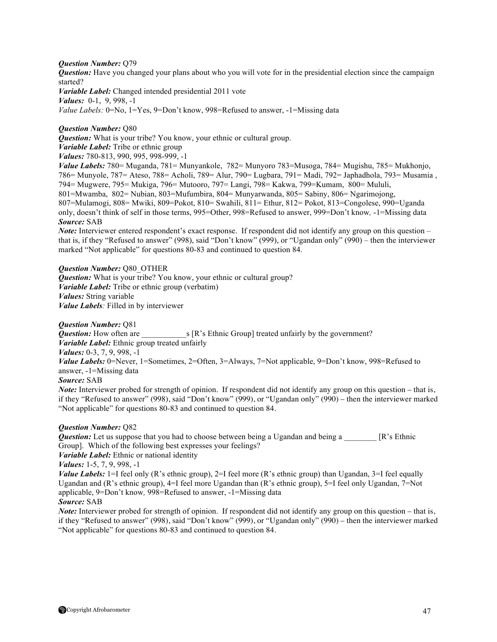### *Question Number:* Q79

*Question:* Have you changed your plans about who you will vote for in the presidential election since the campaign started?

*Variable Label:* Changed intended presidential 2011 vote *Values:* 0-1, 9, 998, -1 *Value Labels:* 0=No, 1=Yes, 9=Don't know, 998=Refused to answer, -1=Missing data

## *Question Number:* Q80

*Question:* What is your tribe? You know, your ethnic or cultural group.

*Variable Label:* Tribe or ethnic group

*Values:* 780-813, 990, 995, 998-999, -1

*Value Labels:* 780= Muganda, 781= Munyankole, 782= Munyoro 783=Musoga, 784= Mugishu, 785= Mukhonjo, 786= Munyole, 787= Ateso, 788= Acholi, 789= Alur, 790= Lugbara, 791= Madi, 792= Japhadhola, 793= Musamia , 794= Mugwere, 795= Mukiga, 796= Mutooro, 797= Langi, 798= Kakwa, 799=Kumam, 800= Mululi, 801=Mwamba, 802= Nubian, 803=Mufumbira, 804= Munyarwanda, 805= Sabiny, 806= Ngarimojong, 807=Mulamogi, 808= Mwiki, 809=Pokot, 810= Swahili, 811= Ethur, 812= Pokot, 813=Congolese, 990=Uganda only, doesn't think of self in those terms, 995=Other, 998=Refused to answer, 999=Don't know*,* -1=Missing data *Source:* SAB

*Note:* Interviewer entered respondent's exact response. If respondent did not identify any group on this question – that is, if they "Refused to answer" (998), said "Don't know" (999), or "Ugandan only" (990) – then the interviewer marked "Not applicable" for questions 80-83 and continued to question 84.

## *Question Number:* Q80\_OTHER

*Question:* What is your tribe? You know, your ethnic or cultural group? *Variable Label:* Tribe or ethnic group (verbatim) *Values:* String variable *Value Labels:* Filled in by interviewer

*Question Number:* Q81 *s* [R's Ethnic Group] treated unfairly by the government? *Variable Label:* Ethnic group treated unfairly *Values:* 0-3, 7, 9, 998, -1 *Value Labels:* 0=Never, 1=Sometimes, 2=Often, 3=Always, 7=Not applicable, 9=Don't know, 998=Refused to answer, -1=Missing data

## *Source:* SAB

*Note:* Interviewer probed for strength of opinion. If respondent did not identify any group on this question – that is, if they "Refused to answer" (998), said "Don't know" (999), or "Ugandan only" (990) – then the interviewer marked "Not applicable" for questions 80-83 and continued to question 84.

### *Question Number:* Q82

*Question:* Let us suppose that you had to choose between being a Ugandan and being a \_\_\_\_\_\_\_ [R's Ethnic Group]. Which of the following best expresses your feelings?

*Variable Label:* Ethnic or national identity

*Values:* 1-5, 7, 9, 998, -1

*Value Labels:* 1=I feel only (R's ethnic group), 2=I feel more (R's ethnic group) than Ugandan, 3=I feel equally Ugandan and (R's ethnic group), 4=I feel more Ugandan than (R's ethnic group), 5=I feel only Ugandan, 7=Not applicable, 9=Don't know*,* 998=Refused to answer, -1=Missing data

### *Source:* SAB

*Note:* Interviewer probed for strength of opinion. If respondent did not identify any group on this question – that is, if they "Refused to answer" (998), said "Don't know" (999), or "Ugandan only" (990) – then the interviewer marked "Not applicable" for questions 80-83 and continued to question 84.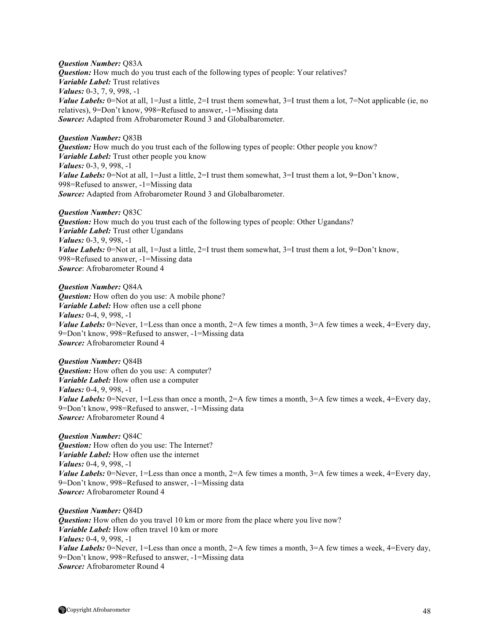*Question Number:* Q83A *Question:* How much do you trust each of the following types of people: Your relatives? *Variable Label:* Trust relatives *Values:* 0-3, 7, 9, 998, -1 *Value Labels:* 0=Not at all, 1=Just a little, 2=I trust them somewhat, 3=I trust them a lot, 7=Not applicable (ie, no relatives), 9=Don't know, 998=Refused to answer, -1=Missing data *Source:* Adapted from Afrobarometer Round 3 and Globalbarometer.

#### *Question Number:* Q83B

*Question:* How much do you trust each of the following types of people: Other people you know? *Variable Label:* Trust other people you know *Values:* 0-3, 9, 998, -1 *Value Labels:* 0=Not at all, 1=Just a little, 2=I trust them somewhat, 3=I trust them a lot, 9=Don't know, 998=Refused to answer, -1=Missing data *Source:* Adapted from Afrobarometer Round 3 and Globalbarometer.

#### *Question Number:* Q83C

*Question:* How much do you trust each of the following types of people: Other Ugandans? *Variable Label:* Trust other Ugandans *Values:* 0-3, 9, 998, -1 *Value Labels:* 0=Not at all, 1=Just a little, 2=I trust them somewhat, 3=I trust them a lot, 9=Don't know, 998=Refused to answer, -1=Missing data *Source*: Afrobarometer Round 4

*Question Number:* Q84A *Question:* How often do you use: A mobile phone? *Variable Label:* How often use a cell phone *Values:* 0-4, 9, 998, -1 *Value Labels:* 0=Never, 1=Less than once a month, 2=A few times a month, 3=A few times a week, 4=Every day, 9=Don't know, 998=Refused to answer, -1=Missing data *Source:* Afrobarometer Round 4

*Question Number:* Q84B *Question:* How often do you use: A computer? *Variable Label:* How often use a computer *Values:* 0-4, 9, 998, -1 *Value Labels:* 0=Never, 1=Less than once a month,  $2=$ A few times a month,  $3=$ A few times a week,  $4=$ Every day, 9=Don't know, 998=Refused to answer, -1=Missing data *Source:* Afrobarometer Round 4

*Question Number:* Q84C *Question:* How often do you use: The Internet? *Variable Label:* How often use the internet *Values:* 0-4, 9, 998, -1 *Value Labels:* 0=Never, 1=Less than once a month,  $2=A$  few times a month,  $3=A$  few times a week,  $4=E$ very day, 9=Don't know, 998=Refused to answer, -1=Missing data *Source:* Afrobarometer Round 4

*Question Number:* Q84D *Question:* How often do you travel 10 km or more from the place where you live now? *Variable Label:* How often travel 10 km or more *Values:* 0-4, 9, 998, -1 *Value Labels:* 0=Never, 1=Less than once a month, 2=A few times a month, 3=A few times a week, 4=Every day, 9=Don't know, 998=Refused to answer, -1=Missing data *Source:* Afrobarometer Round 4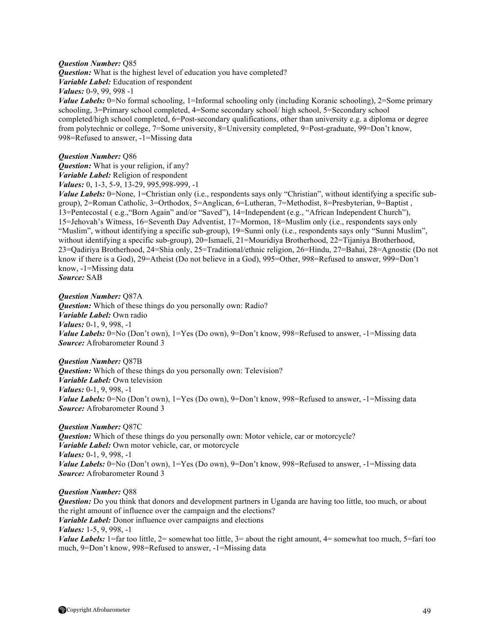#### *Question Number:* Q85

*Question:* What is the highest level of education you have completed? *Variable Label:* Education of respondent

*Values:* 0-9, 99, 998 -1

*Value Labels:* 0=No formal schooling, 1=Informal schooling only (including Koranic schooling), 2=Some primary schooling, 3=Primary school completed, 4=Some secondary school/ high school, 5=Secondary school completed/high school completed, 6=Post-secondary qualifications, other than university e.g. a diploma or degree from polytechnic or college, 7=Some university, 8=University completed, 9=Post-graduate, 99=Don't know, 998=Refused to answer, -1=Missing data

## *Question Number:* Q86

*Question:* What is your religion, if any? *Variable Label:* Religion of respondent

*Values:* 0, 1-3, 5-9, 13-29, 995,998-999, -1

*Value Labels:* 0=None, 1=Christian only (i.e., respondents says only "Christian", without identifying a specific subgroup), 2=Roman Catholic, 3=Orthodox, 5=Anglican, 6=Lutheran, 7=Methodist, 8=Presbyterian, 9=Baptist , 13=Pentecostal ( e.g.,"Born Again" and/or "Saved"), 14=Independent (e.g., "African Independent Church"), 15=Jehovah's Witness, 16=Seventh Day Adventist, 17=Mormon, 18=Muslim only (i.e., respondents says only "Muslim", without identifying a specific sub-group), 19=Sunni only (i.e., respondents says only "Sunni Muslim", without identifying a specific sub-group), 20=Ismaeli, 21=Mouridiya Brotherhood, 22=Tijaniya Brotherhood, 23=Qadiriya Brotherhood, 24=Shia only, 25=Traditional/ethnic religion, 26=Hindu, 27=Bahai, 28=Agnostic (Do not know if there is a God), 29=Atheist (Do not believe in a God), 995=Other, 998=Refused to answer, 999=Don't know, -1=Missing data *Source:* SAB

*Question Number:* Q87A *Question:* Which of these things do you personally own: Radio? *Variable Label:* Own radio *Values:* 0-1, 9, 998, -1 *Value Labels:* 0=No (Don't own), 1=Yes (Do own), 9=Don't know, 998=Refused to answer, -1=Missing data *Source:* Afrobarometer Round 3

*Question Number:* Q87B *Question:* Which of these things do you personally own: Television? *Variable Label:* Own television *Values:* 0-1, 9, 998, -1 *Value Labels:* 0=No (Don't own), 1=Yes (Do own), 9=Don't know, 998=Refused to answer, -1=Missing data *Source:* Afrobarometer Round 3

#### *Question Number:* Q87C

*Question:* Which of these things do you personally own: Motor vehicle, car or motorcycle? *Variable Label:* Own motor vehicle, car, or motorcycle *Values:* 0-1, 9, 998, -1 *Value Labels:* 0=No (Don't own), 1=Yes (Do own), 9=Don't know, 998=Refused to answer, -1=Missing data *Source:* Afrobarometer Round 3

*Question Number:* Q88

*Question:* Do you think that donors and development partners in Uganda are having too little, too much, or about the right amount of influence over the campaign and the elections? *Variable Label:* Donor influence over campaigns and elections *Values:* 1-5, 9, 998, -1 *Value Labels:* 1=far too little, 2= somewhat too little, 3= about the right amount, 4= somewhat too much, 5=fari too much, 9=Don't know, 998=Refused to answer, -1=Missing data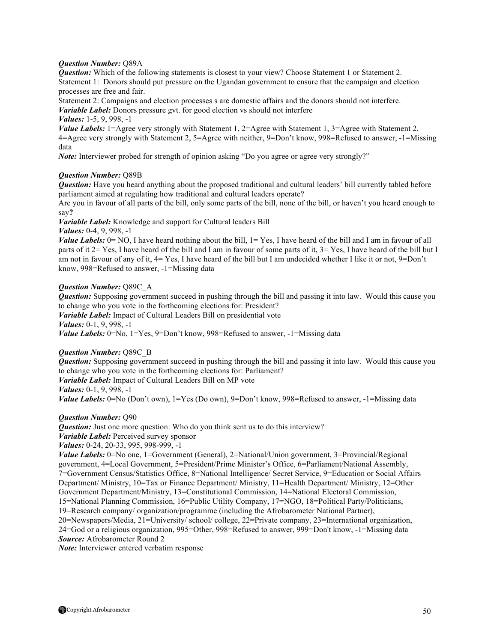## *Question Number:* Q89A

*Question:* Which of the following statements is closest to your view? Choose Statement 1 or Statement 2. Statement 1: Donors should put pressure on the Ugandan government to ensure that the campaign and election processes are free and fair.

Statement 2: Campaigns and election processes s are domestic affairs and the donors should not interfere. *Variable Label:* Donors pressure gvt. for good election vs should not interfere

*Values:* 1-5, 9, 998, -1

*Value Labels:* 1=Agree very strongly with Statement 1, 2=Agree with Statement 1, 3=Agree with Statement 2, 4=Agree very strongly with Statement 2, 5=Agree with neither, 9=Don't know, 998=Refused to answer, -1=Missing data

*Note:* Interviewer probed for strength of opinion asking "Do you agree or agree very strongly?"

## *Question Number:* Q89B

*Question:* Have you heard anything about the proposed traditional and cultural leaders' bill currently tabled before parliament aimed at regulating how traditional and cultural leaders operate?

Are you in favour of all parts of the bill, only some parts of the bill, none of the bill, or haven't you heard enough to say**?**

*Variable Label:* Knowledge and support for Cultural leaders Bill

*Values:* 0-4, 9, 998, -1

*Value Labels:* 0= NO, I have heard nothing about the bill, 1= Yes, I have heard of the bill and I am in favour of all parts of it 2= Yes, I have heard of the bill and I am in favour of some parts of it, 3= Yes, I have heard of the bill but I am not in favour of any of it, 4= Yes, I have heard of the bill but I am undecided whether I like it or not, 9=Don't know, 998=Refused to answer, -1=Missing data

## *Question Number:* Q89C\_A

*Question:* Supposing government succeed in pushing through the bill and passing it into law. Would this cause you to change who you vote in the forthcoming elections for: President?

*Variable Label:* Impact of Cultural Leaders Bill on presidential vote *Values:* 0-1, 9, 998, -1

*Value Labels:* 0=No, 1=Yes, 9=Don't know, 998=Refused to answer, -1=Missing data

### *Question Number:* Q89C\_B

*Question:* Supposing government succeed in pushing through the bill and passing it into law. Would this cause you to change who you vote in the forthcoming elections for: Parliament? *Variable Label:* Impact of Cultural Leaders Bill on MP vote *Values:* 0-1, 9, 998, -1 *Value Labels:* 0=No (Don't own), 1=Yes (Do own), 9=Don't know, 998=Refused to answer, -1=Missing data

*Question Number:* Q90

**Question:** Just one more question: Who do you think sent us to do this interview? *Variable Label:* Perceived survey sponsor *Values:* 0-24, 20-33, 995, 998-999, -1 *Value Labels:* 0=No one, 1=Government (General), 2=National/Union government, 3=Provincial/Regional government, 4=Local Government, 5=President/Prime Minister's Office, 6=Parliament/National Assembly, 7=Government Census/Statistics Office, 8=National Intelligence/ Secret Service, 9=Education or Social Affairs Department/ Ministry, 10=Tax or Finance Department/ Ministry, 11=Health Department/ Ministry, 12=Other Government Department/Ministry, 13=Constitutional Commission, 14=National Electoral Commission, 15=National Planning Commission, 16=Public Utility Company, 17=NGO, 18=Political Party/Politicians,

19=Research company/ organization/programme (including the Afrobarometer National Partner),

20=Newspapers/Media, 21=University/ school/ college, 22=Private company, 23=International organization, 24=God or a religious organization, 995=Other, 998=Refused to answer, 999=Don't know, -1=Missing data *Source:* Afrobarometer Round 2

*Note:* Interviewer entered verbatim response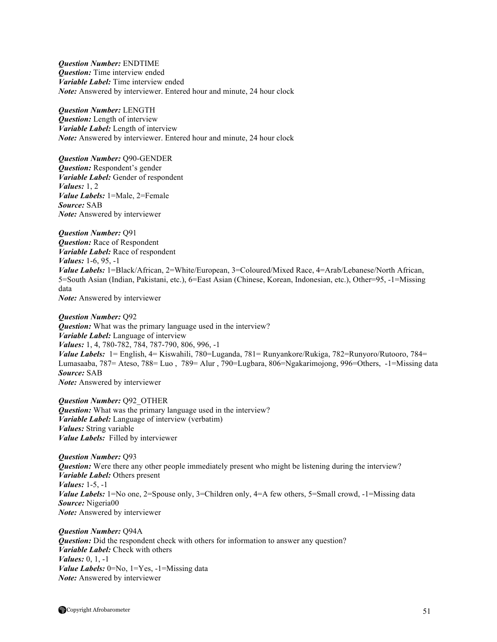*Question Number:* ENDTIME *Question:* Time interview ended *Variable Label:* Time interview ended *Note:* Answered by interviewer. Entered hour and minute, 24 hour clock

*Question Number:* LENGTH *Question:* Length of interview *Variable Label:* Length of interview *Note:* Answered by interviewer. Entered hour and minute, 24 hour clock

*Question Number:* Q90-GENDER *Question:* Respondent's gender *Variable Label:* Gender of respondent *Values:* 1, 2 *Value Labels:* 1=Male, 2=Female *Source:* SAB *Note:* Answered by interviewer

*Question Number:* Q91 *Question:* Race of Respondent *Variable Label:* Race of respondent *Values:* 1-6, 95, -1 *Value Labels:* 1=Black/African, 2=White/European, 3=Coloured/Mixed Race, 4=Arab/Lebanese/North African, 5=South Asian (Indian, Pakistani, etc.), 6=East Asian (Chinese, Korean, Indonesian, etc.), Other=95, -1=Missing data *Note:* Answered by interviewer

*Question Number:* Q92 *Question:* What was the primary language used in the interview? *Variable Label:* Language of interview *Values:* 1, 4, 780-782, 784, 787-790, 806, 996, -1 *Value Labels:* 1= English, 4= Kiswahili, 780=Luganda, 781= Runyankore/Rukiga, 782=Runyoro/Rutooro, 784= Lumasaaba, 787= Ateso, 788= Luo , 789= Alur , 790=Lugbara, 806=Ngakarimojong, 996=Others, -1=Missing data *Source:* SAB *Note:* Answered by interviewer

*Question Number:* Q92\_OTHER *Question:* What was the primary language used in the interview? *Variable Label:* Language of interview (verbatim) *Values:* String variable *Value Labels:* Filled by interviewer

*Question Number:* Q93 *Question:* Were there any other people immediately present who might be listening during the interview? *Variable Label:* Others present *Values:* 1-5, -1 *Value Labels:* 1=No one, 2=Spouse only, 3=Children only, 4=A few others, 5=Small crowd, -1=Missing data *Source:* Nigeria00 *Note:* Answered by interviewer

*Question Number:* Q94A *Question:* Did the respondent check with others for information to answer any question? *Variable Label:* Check with others *Values:* 0, 1, -1 *Value Labels:* 0=No, 1=Yes, -1=Missing data *Note:* Answered by interviewer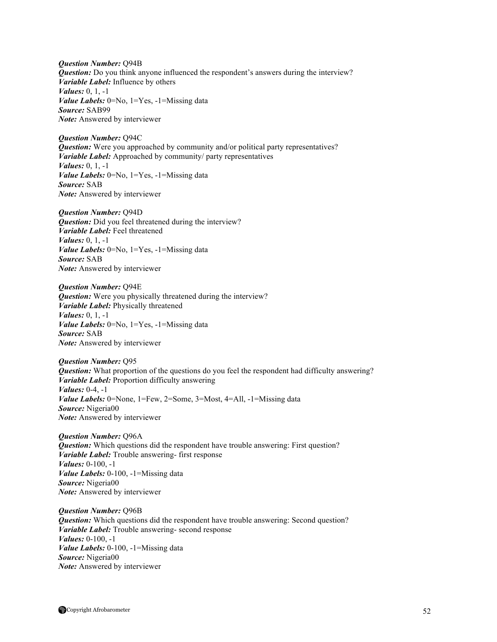*Question Number:* Q94B *Question:* Do you think anyone influenced the respondent's answers during the interview? *Variable Label:* Influence by others *Values:* 0, 1, -1 *Value Labels:* 0=No, 1=Yes, -1=Missing data *Source:* SAB99 *Note:* Answered by interviewer

*Question Number:* Q94C *Question:* Were you approached by community and/or political party representatives? *Variable Label:* Approached by community/ party representatives *Values:* 0, 1, -1 *Value Labels:* 0=No, 1=Yes, -1=Missing data *Source:* SAB *Note:* Answered by interviewer

*Question Number:* Q94D *Question:* Did you feel threatened during the interview? *Variable Label:* Feel threatened *Values:* 0, 1, -1 *Value Labels:* 0=No, 1=Yes, -1=Missing data *Source:* SAB *Note:* Answered by interviewer

*Question Number:* Q94E *Question:* Were you physically threatened during the interview? *Variable Label:* Physically threatened *Values:* 0, 1, -1 *Value Labels:* 0=No, 1=Yes, -1=Missing data *Source:* SAB *Note:* Answered by interviewer

*Question Number:* Q95 *Question:* What proportion of the questions do you feel the respondent had difficulty answering? *Variable Label:* Proportion difficulty answering *Values:* 0-4, -1 *Value Labels:* 0=None, 1=Few, 2=Some, 3=Most, 4=All, -1=Missing data *Source:* Nigeria00 *Note:* Answered by interviewer

*Question Number:* Q96A *Question:* Which questions did the respondent have trouble answering: First question? *Variable Label:* Trouble answering- first response *Values:* 0-100, -1 *Value Labels:* 0-100, -1=Missing data *Source:* Nigeria00 *Note:* Answered by interviewer

*Question Number:* Q96B *Question:* Which questions did the respondent have trouble answering: Second question? *Variable Label:* Trouble answering- second response *Values:* 0-100, -1 *Value Labels:* 0-100, -1=Missing data *Source:* Nigeria00 *Note:* Answered by interviewer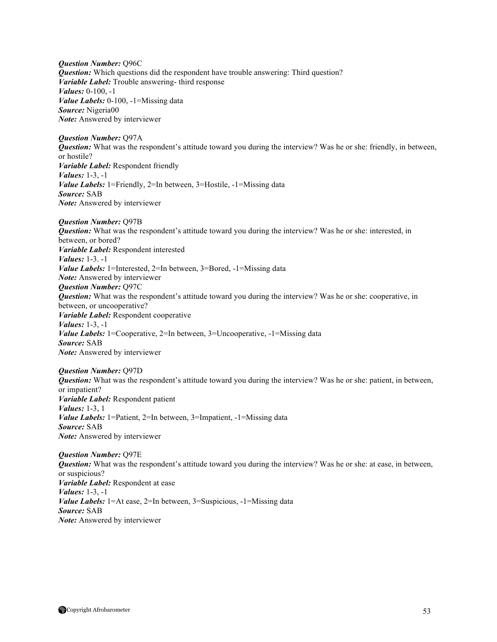*Question Number:* Q96C *Question:* Which questions did the respondent have trouble answering: Third question? *Variable Label:* Trouble answering- third response *Values:* 0-100, -1 *Value Labels:* 0-100, -1=Missing data *Source:* Nigeria00 *Note:* Answered by interviewer

*Question Number:* Q97A *Question:* What was the respondent's attitude toward you during the interview? Was he or she: friendly, in between, or hostile? *Variable Label:* Respondent friendly *Values:* 1-3, -1 *Value Labels:* 1=Friendly, 2=In between, 3=Hostile, -1=Missing data *Source:* SAB *Note:* Answered by interviewer

*Question Number:* Q97B *Question:* What was the respondent's attitude toward you during the interview? Was he or she: interested, in between, or bored? *Variable Label:* Respondent interested *Values:* 1-3. -1 *Value Labels:* 1=Interested, 2=In between, 3=Bored, -1=Missing data *Note:* Answered by interviewer *Question Number:* Q97C *Question:* What was the respondent's attitude toward you during the interview? Was he or she: cooperative, in between, or uncooperative? *Variable Label:* Respondent cooperative *Values:* 1-3, -1 *Value Labels:* 1=Cooperative, 2=In between, 3=Uncooperative, -1=Missing data *Source:* SAB *Note:* Answered by interviewer

*Question Number:* Q97D *Question:* What was the respondent's attitude toward you during the interview? Was he or she: patient, in between, or impatient? *Variable Label:* Respondent patient *Values:* 1-3, 1 *Value Labels:* 1=Patient, 2=In between, 3=Impatient, -1=Missing data *Source:* SAB *Note:* Answered by interviewer

*Question Number:* Q97E *Question:* What was the respondent's attitude toward you during the interview? Was he or she: at ease, in between, or suspicious? *Variable Label:* Respondent at ease *Values:* 1-3, -1 *Value Labels:* 1=At ease, 2=In between, 3=Suspicious, -1=Missing data *Source:* SAB *Note:* Answered by interviewer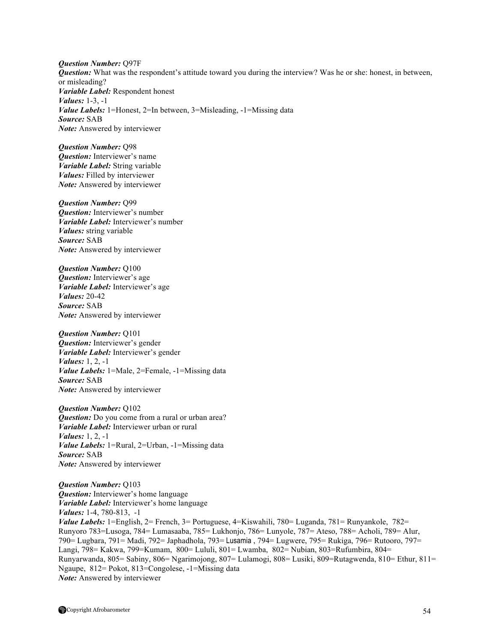*Question Number:* Q97F *Question:* What was the respondent's attitude toward you during the interview? Was he or she: honest, in between, or misleading? *Variable Label:* Respondent honest *Values:* 1-3, -1 *Value Labels:* 1=Honest, 2=In between, 3=Misleading, -1=Missing data *Source:* SAB *Note:* Answered by interviewer

*Question Number:* Q98 *Question:* Interviewer's name *Variable Label:* String variable *Values:* Filled by interviewer *Note:* Answered by interviewer

*Question Number:* Q99 *Question:* Interviewer's number *Variable Label:* Interviewer's number *Values:* string variable *Source:* SAB *Note:* Answered by interviewer

*Question Number:* Q100 *Question:* Interviewer's age *Variable Label:* Interviewer's age *Values:* 20-42 *Source:* SAB *Note:* Answered by interviewer

*Question Number:* Q101 *Question:* Interviewer's gender *Variable Label:* Interviewer's gender *Values:* 1, 2, -1 *Value Labels:* 1=Male, 2=Female, -1=Missing data *Source:* SAB *Note:* Answered by interviewer

*Question Number:* Q102 *Question:* Do you come from a rural or urban area? *Variable Label:* Interviewer urban or rural *Values:* 1, 2, -1 *Value Labels:* 1=Rural, 2=Urban, -1=Missing data *Source:* SAB *Note:* Answered by interviewer

*Question Number:* Q103 *Question:* Interviewer's home language *Variable Label:* Interviewer's home language *Values:* 1-4, 780-813, -1 *Value Labels:* 1=English, 2= French, 3= Portuguese, 4=Kiswahili, 780= Luganda, 781= Runyankole, 782= Runyoro 783=Lusoga, 784= Lumasaaba, 785= Lukhonjo, 786= Lunyole, 787= Ateso, 788= Acholi, 789= Alur, 790= Lugbara, 791= Madi, 792= Japhadhola, 793= Lusamia , 794= Lugwere, 795= Rukiga, 796= Rutooro, 797= Langi, 798= Kakwa, 799=Kumam, 800= Lululi, 801= Lwamba, 802= Nubian, 803=Rufumbira, 804= Runyarwanda, 805= Sabiny, 806= Ngarimojong, 807= Lulamogi, 808= Lusiki, 809=Rutagwenda, 810= Ethur, 811= Ngaupe, 812= Pokot, 813=Congolese, -1=Missing data *Note:* Answered by interviewer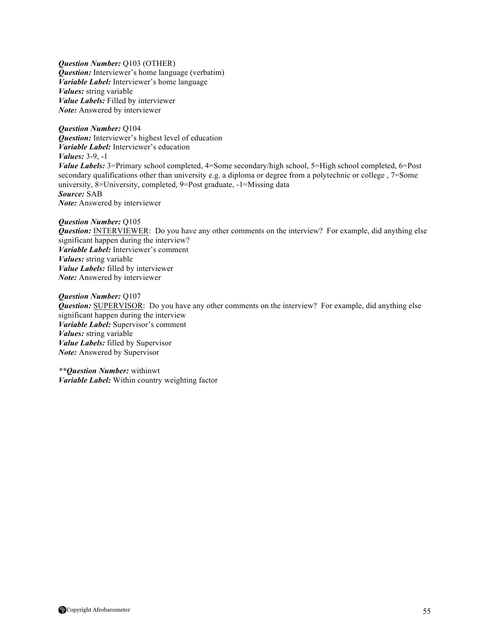*Question Number:* Q103 (OTHER) *Question:* Interviewer's home language (verbatim) *Variable Label:* Interviewer's home language *Values:* string variable *Value Labels:* Filled by interviewer *Note:* Answered by interviewer

*Question Number:* Q104 *Question:* Interviewer's highest level of education *Variable Label:* Interviewer's education *Values:* 3-9, -1 *Value Labels:* 3=Primary school completed, 4=Some secondary/high school, 5=High school completed, 6=Post secondary qualifications other than university e.g. a diploma or degree from a polytechnic or college , 7=Some university, 8=University, completed, 9=Post graduate, -1=Missing data *Source:* SAB *Note:* Answered by interviewer

*Question Number:* Q105 *Question:* INTERVIEWER: Do you have any other comments on the interview? For example, did anything else significant happen during the interview? *Variable Label:* Interviewer's comment *Values:* string variable *Value Labels:* filled by interviewer *Note:* Answered by interviewer

*Question Number:* Q107 *Question:* SUPERVISOR: Do you have any other comments on the interview? For example, did anything else significant happen during the interview *Variable Label:* Supervisor's comment *Values:* string variable *Value Labels:* filled by Supervisor *Note:* Answered by Supervisor

*\*\*Question Number:* withinwt *Variable Label:* Within country weighting factor